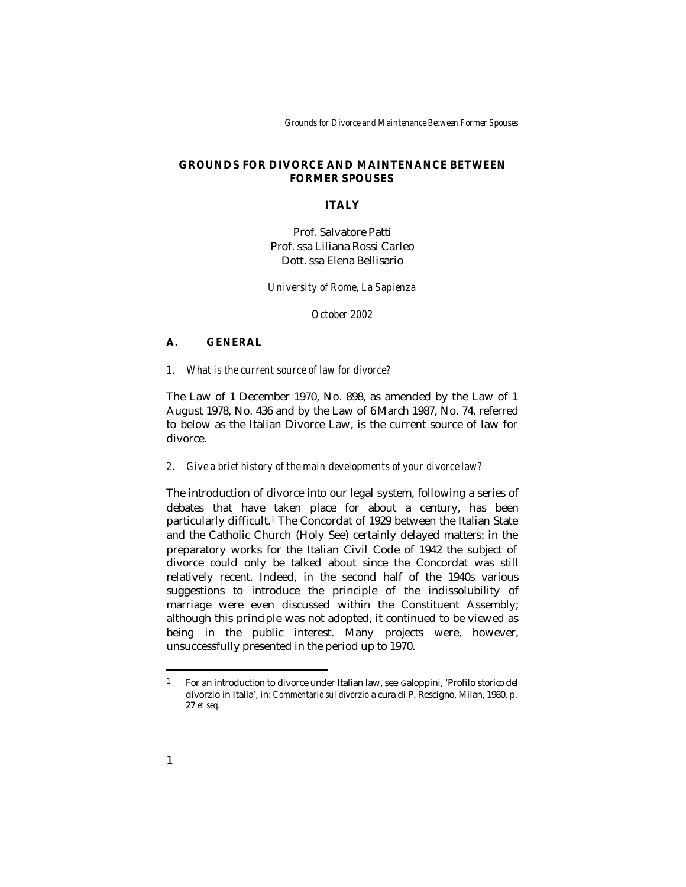*Grounds for Divorce and Maintenance Between Former Spouses*

## **GROUNDS FOR DIVORCE AND MAINTENANCE BETWEEN FORMER SPOUSES**

### **ITALY**

Prof. Salvatore Patti Prof. ssa Liliana Rossi Carleo Dott. ssa Elena Bellisario

*University of Rome, La Sapienza* 

*October 2002*

## **A. GENERAL**

*1. What is the current source of law for divorce?*

The Law of 1 December 1970, No. 898, as amended by the Law of 1 August 1978, No. 436 and by the Law of 6 March 1987, No. 74, referred to below as the Italian Divorce Law, is the current source of law for divorce.

#### *2. Give a brief history of the main developments of your divorce law?*

The introduction of divorce into our legal system, following a series of debates that have taken place for about a century, has been particularly difficult.1 The Concordat of 1929 between the Italian State and the Catholic Church (Holy See) certainly delayed matters: in the preparatory works for the Italian Civil Code of 1942 the subject of divorce could only be talked about since the Concordat was still relatively recent. Indeed, in the second half of the 1940s various suggestions to introduce the principle of the indissolubility of marriage were even discussed within the Constituent Assembly; although this principle was not adopted, it continued to be viewed as being in the public interest. Many projects were, however, unsuccessfully presented in the period up to 1970.

<sup>1</sup> For an introduction to divorce under Italian law, see Galoppini, 'Profilo storico del divorzio in Italia', in: *Commentario sul divorzio* a cura di P. Rescigno, Milan, 1980, p. 27 *et seq*.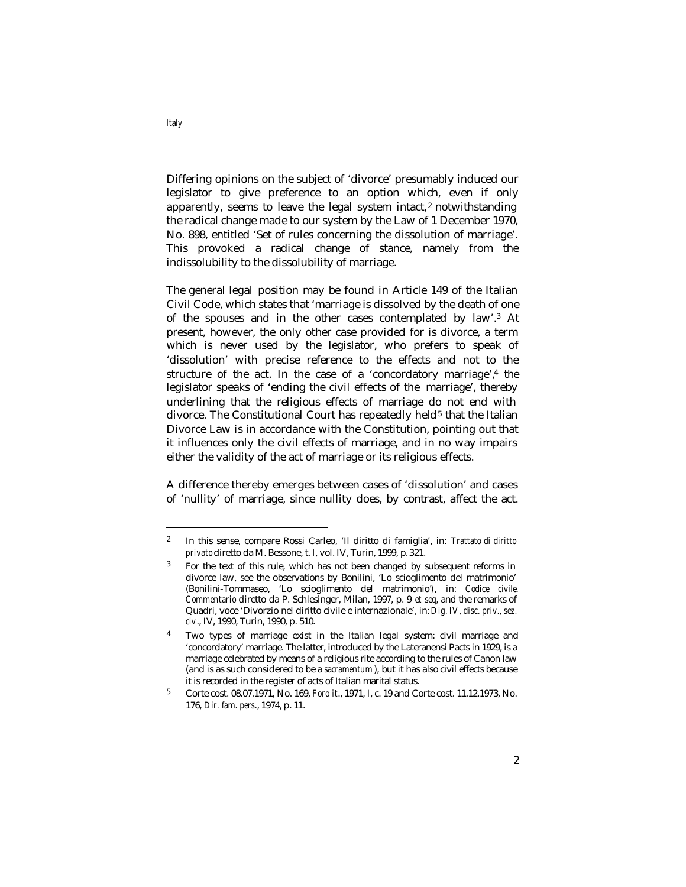Differing opinions on the subject of 'divorce' presumably induced our legislator to give preference to an option which, even if only apparently, seems to leave the legal system intact,2 notwithstanding the radical change made to our system by the Law of 1 December 1970, No. 898, entitled 'Set of rules concerning the dissolution of marriage'. This provoked a radical change of stance, namely from the indissolubility to the dissolubility of marriage.

The general legal position may be found in Article 149 of the Italian Civil Code, which states that 'marriage is dissolved by the death of one of the spouses and in the other cases contemplated by law'.3 At present, however, the only other case provided for is divorce, a term which is never used by the legislator, who prefers to speak of 'dissolution' with precise reference to the effects and not to the structure of the act. In the case of a 'concordatory marriage',4 the legislator speaks of 'ending the civil effects of the marriage', thereby underlining that the religious effects of marriage do not end with divorce. The Constitutional Court has repeatedly held<sup>5</sup> that the Italian Divorce Law is in accordance with the Constitution, pointing out that it influences only the civil effects of marriage, and in no way impairs either the validity of the act of marriage or its religious effects.

A difference thereby emerges between cases of 'dissolution' and cases of 'nullity' of marriage, since nullity does, by contrast, affect the act.

<sup>2</sup> In this sense, compare Rossi Carleo, 'Il diritto di famiglia', in: *Trattato di diritto privato* diretto da M. Bessone, t. I, vol. IV, Turin, 1999, p. 321.

<sup>3</sup> For the text of this rule, which has not been changed by subsequent reforms in divorce law, see the observations by Bonilini, 'Lo scioglimento del matrimonio' (Bonilini-Tommaseo, 'Lo scioglimento del matrimonio'*)*, in: *Codice civile. Commentario* diretto da P. Schlesinger, Milan, 1997, p. 9 *et seq*, and the remarks of Quadri, voce 'Divorzio nel diritto civile e internazionale', in: *Dig. IV, disc. priv., sez. civ*., IV, 1990, Turin, 1990, p. 510.

<sup>4</sup> Two types of marriage exist in the Italian legal system: civil marriage and 'concordatory' marriage. The latter, introduced by the Lateranensi Pacts in 1929, is a marriage celebrated by means of a religious rite according to the rules of Canon law (and is as such considered to be a *sacramentum* ), but it has also civil effects because it is recorded in the register of acts of Italian marital status.

<sup>5</sup> Corte cost. 08.07.1971, No. 169, *Foro it*., 1971, I, c. 19 and Corte cost. 11.12.1973, No. 176, *Dir. fam. pers*., 1974, p. 11.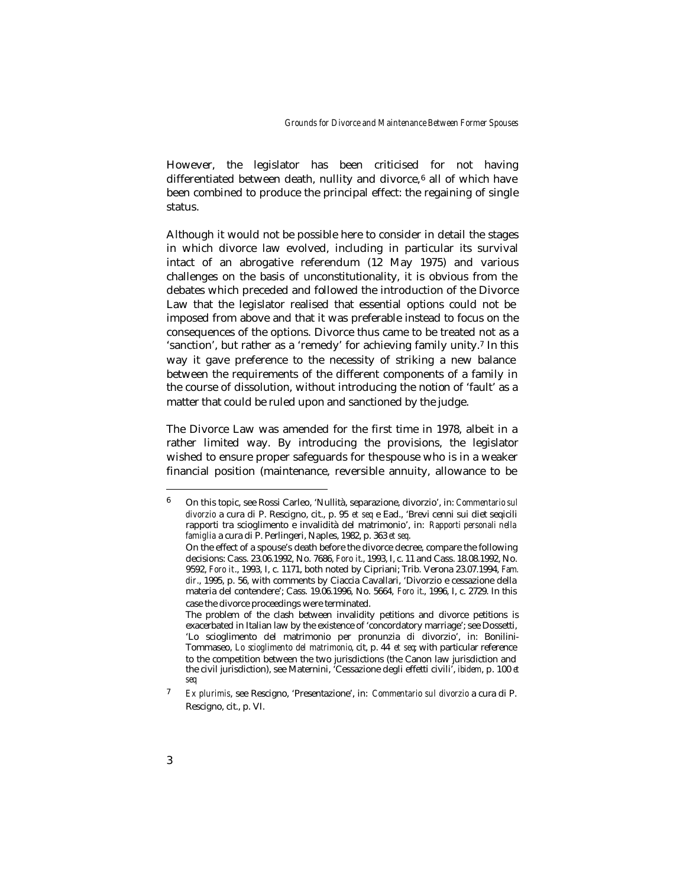However, the legislator has been criticised for not having differentiated between death, nullity and divorce,<sup>6</sup> all of which have been combined to produce the principal effect: the regaining of single status.

Although it would not be possible here to consider in detail the stages in which divorce law evolved, including in particular its survival intact of an abrogative referendum (12 May 1975) and various challenges on the basis of unconstitutionality, it is obvious from the debates which preceded and followed the introduction of the Divorce Law that the legislator realised that essential options could not be imposed from above and that it was preferable instead to focus on the consequences of the options. Divorce thus came to be treated not as a 'sanction', but rather as a 'remedy' for achieving family unity.7 In this way it gave preference to the necessity of striking a new balance between the requirements of the different components of a family in the course of dissolution, without introducing the notion of 'fault' as a matter that could be ruled upon and sanctioned by the judge.

The Divorce Law was amended for the first time in 1978, albeit in a rather limited way. By introducing the provisions, the legislator wished to ensure proper safeguards for the spouse who is in a weaker financial position (maintenance, reversible annuity, allowance to be

<sup>6</sup> On this topic, see Rossi Carleo, 'Nullità, separazione, divorzio', in: *Commentario sul divorzio* a cura di P. Rescigno, cit., p. 95 *et seq* e Ead., 'Brevi cenni sui diet seqicili rapporti tra scioglimento e invalidità del matrimonio', in: *Rapporti personali nella famiglia* a cura di P. Perlingeri, Naples, 1982, p. 363 *et seq*.

On the effect of a spouse's death before the divorce decree, compare the following decisions: Cass. 23.06.1992, No. 7686, *Foro it*., 1993, I, c. 11 and Cass. 18.08.1992, No. 9592, *Foro it*., 1993, I, c. 1171, both noted by Cipriani; Trib. Verona 23.07.1994, *Fam. dir*., 1995, p. 56, with comments by Ciaccia Cavallari, 'Divorzio e cessazione della materia del contendere'; Cass. 19.06.1996, No. 5664, *Foro it*., 1996, I, c. 2729. In this case the divorce proceedings were terminated.

The problem of the clash between invalidity petitions and divorce petitions is exacerbated in Italian law by the existence of 'concordatory marriage'; see Dossetti, 'Lo scioglimento del matrimonio per pronunzia di divorzio', in: Bonilini-Tommaseo, *Lo scioglimento del matrimonio*, cit, p. 44 *et seq*; with particular reference to the competition between the two jurisdictions (the Canon law jurisdiction and the civil jurisdiction), see Maternini, 'Cessazione degli effetti civili', *ibidem*, p. 100 *et seq*

<sup>7</sup> *Ex plurimis*, see Rescigno, 'Presentazione', in: *Commentario sul divorzio* a cura di P. Rescigno, cit., p. VI.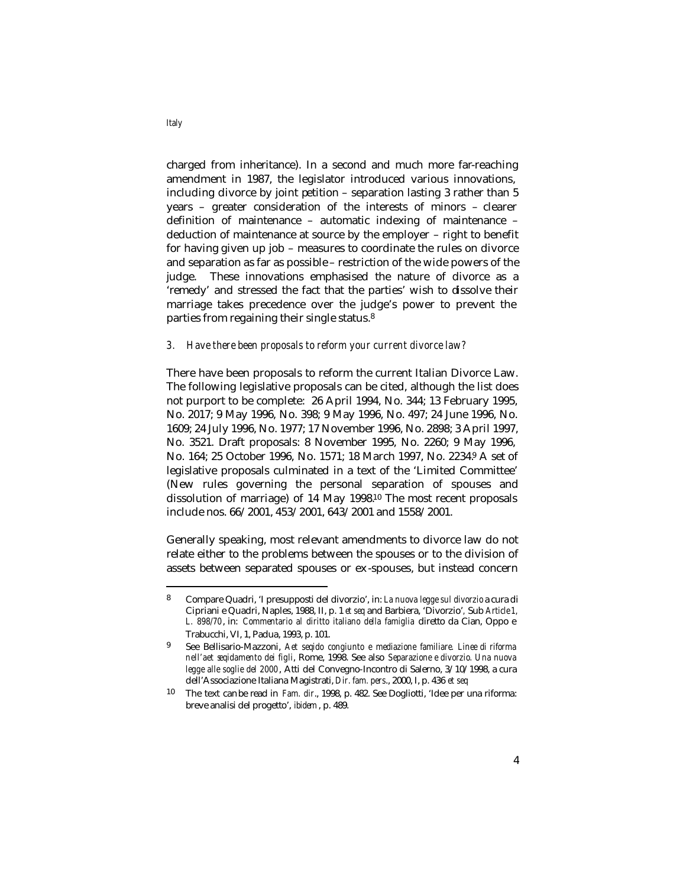charged from inheritance). In a second and much more far-reaching amendment in 1987, the legislator introduced various innovations, including divorce by joint petition – separation lasting 3 rather than 5 years – greater consideration of the interests of minors – clearer definition of maintenance – automatic indexing of maintenance – deduction of maintenance at source by the employer – right to benefit for having given up job – measures to coordinate the rules on divorce and separation as far as possible – restriction of the wide powers of the judge. These innovations emphasised the nature of divorce as a 'remedy' and stressed the fact that the parties' wish to dissolve their marriage takes precedence over the judge's power to prevent the parties from regaining their single status.<sup>8</sup>

#### *3. Have there been proposals to reform your current divorce law?*

There have been proposals to reform the current Italian Divorce Law. The following legislative proposals can be cited, although the list does not purport to be complete: 26 April 1994, No. 344; 13 February 1995, No. 2017; 9 May 1996, No. 398; 9 May 1996, No. 497; 24 June 1996, No. 1609; 24 July 1996, No. 1977; 17 November 1996, No. 2898; 3 April 1997, No. 3521. Draft proposals: 8 November 1995, No. 2260; 9 May 1996, No. 164; 25 October 1996, No. 1571; 18 March 1997, No. 2234.9 A set of legislative proposals culminated in a text of the 'Limited Committee' (New rules governing the personal separation of spouses and dissolution of marriage) of 14 May 1998.10 The most recent proposals include nos. 66/2001, 453/2001, 643/2001 and 1558/2001.

Generally speaking, most relevant amendments to divorce law do not relate either to the problems between the spouses or to the division of assets between separated spouses or ex -spouses, but instead concern

*Italy*

<sup>8</sup> Compare Quadri, 'I presupposti del divorzio', in: *La nuova legge sul divorzio* a cura di Cipriani e Quadri, Naples, 1988, II, p. 1 *et seq* and Barbiera, 'Divorzio'*,* Sub *Article 1, L. 898/70*, in: *Commentario al diritto italiano della famiglia* diretto da Cian, Oppo e Trabucchi, VI, 1, Padua, 1993, p. 101.

<sup>9</sup> See Bellisario-Mazzoni, *Aet seqido congiunto e mediazione familiare. Linee di riforma nell'aet seqidamento dei figli*, Rome, 1998. See also *Separazione e divorzio. Una nuova legge alle soglie del 2000*, Atti del Convegno-Incontro di Salerno, 3/10/1998, a cura dell'Associazione Italiana Magistrati, *Dir. fam. pers*., 2000, I, p. 436 *et seq*

<sup>10</sup> The text can be read in *Fam. dir*., 1998, p. 482. See Dogliotti, 'Idee per una riforma: breve analisi del progetto', *ibidem*, p. 489.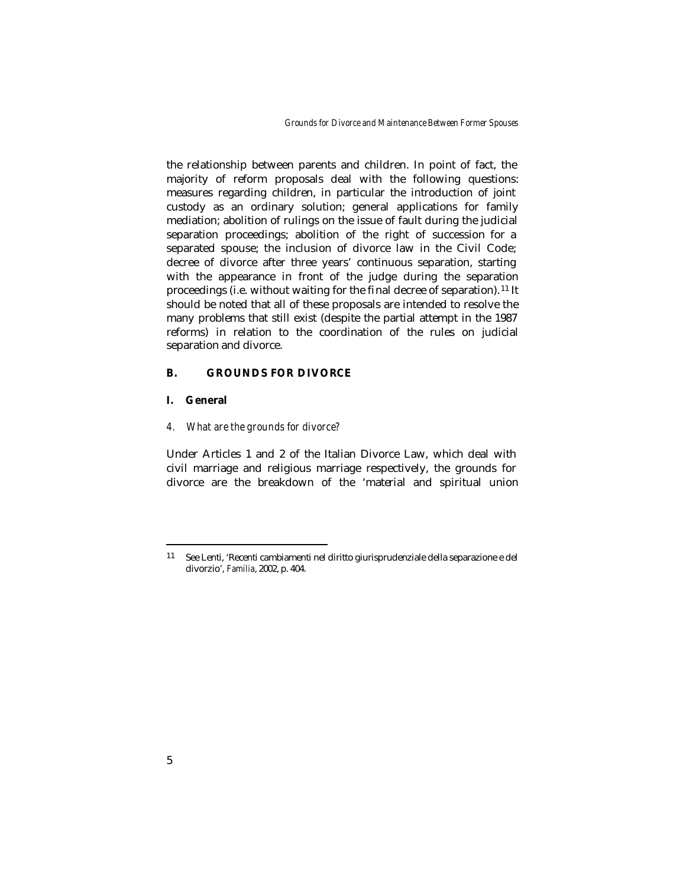*Grounds for Divorce and Maintenance Between Former Spouses*

the relationship between parents and children. In point of fact, the majority of reform proposals deal with the following questions: measures regarding children, in particular the introduction of joint custody as an ordinary solution; general applications for family mediation; abolition of rulings on the issue of fault during the judicial separation proceedings; abolition of the right of succession for a separated spouse; the inclusion of divorce law in the Civil Code; decree of divorce after three years' continuous separation, starting with the appearance in front of the judge during the separation proceedings (i.e. without waiting for the final decree of separation). <sup>11</sup> It should be noted that all of these proposals are intended to resolve the many problems that still exist (despite the partial attempt in the 1987 reforms) in relation to the coordination of the rules on judicial separation and divorce.

### **B. GROUNDS FOR DIVORCE**

## **I. General**

*4. What are the grounds for divorce?* 

Under Articles 1 and 2 of the Italian Divorce Law, which deal with civil marriage and religious marriage respectively, the grounds for divorce are the breakdown of the 'material and spiritual union

<sup>11</sup> See Lenti, 'Recenti cambiamenti nel diritto giurisprudenziale della separazione e del divorzio', *Familia*, 2002, p. 404.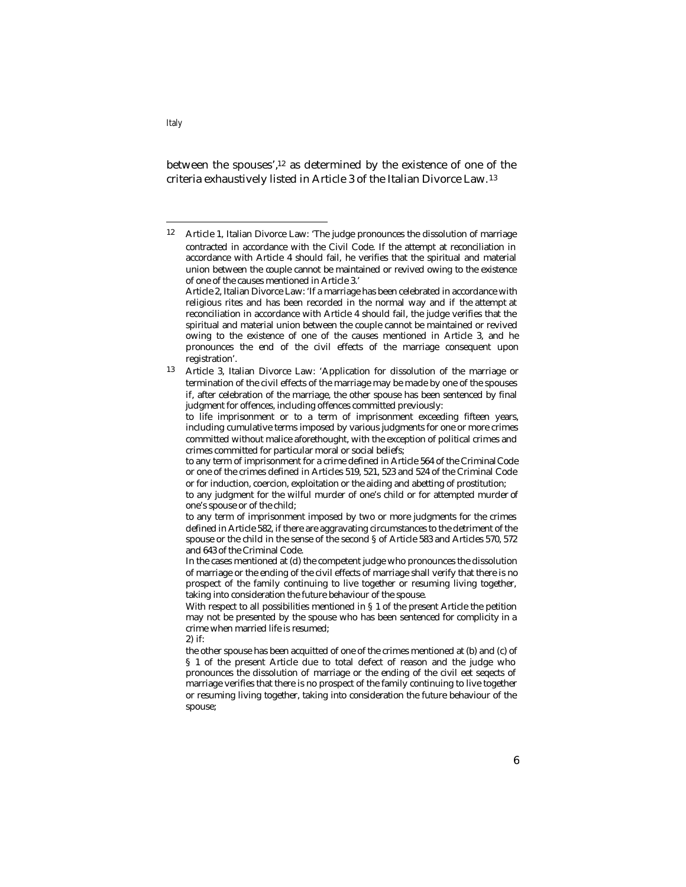between the spouses',12 as determined by the existence of one of the criteria exhaustively listed in Article 3 of the Italian Divorce Law. <sup>13</sup>

to any term of imprisonment for a crime defined in Article 564 of the Criminal Code or one of the crimes defined in Articles 519, 521, 523 and 524 of the Criminal Code or for induction, coercion, exploitation or the aiding and abetting of prostitution;

to any judgment for the wilful murder of one's child or for attempted murder of one's spouse or of the child;

to any term of imprisonment imposed by two or more judgments for the crimes defined in Article 582, if there are aggravating circumstances to the detriment of the spouse or the child in the sense of the second § of Article 583 and Articles 570, 572 and 643 of the Criminal Code.

In the cases mentioned at (d) the competent judge who pronounces the dissolution of marriage or the ending of the civil effects of marriage shall verify that there is no prospect of the family continuing to live together or resuming living together, taking into consideration the future behaviour of the spouse.

With respect to all possibilities mentioned in § 1 of the present Article the petition may not be presented by the spouse who has been sentenced for complicity in a crime when married life is resumed;

2) if:

the other spouse has been acquitted of one of the crimes mentioned at (b) and (c) of § 1 of the present Article due to total defect of reason and the judge who pronounces the dissolution of marriage or the ending of the civil eet seqects of marriage verifies that there is no prospect of the family continuing to live together or resuming living together, taking into consideration the future behaviour of the spouse;

<sup>12</sup> Article 1, Italian Divorce Law: 'The judge pronounces the dissolution of marriage contracted in accordance with the Civil Code. If the attempt at reconciliation in accordance with Article 4 should fail, he verifies that the spiritual and material union between the couple cannot be maintained or revived owing to the existence of one of the causes mentioned in Article 3.' Article 2, Italian Divorce Law: 'If a marriage has been celebrated in accordance with religious rites and has been recorded in the normal way and if the attempt at reconciliation in accordance with Article 4 should fail, the judge verifies that the spiritual and material union between the couple cannot be maintained or revived owing to the existence of one of the causes mentioned in Article 3, and he pronounces the end of the civil effects of the marriage consequent upon registration'.

<sup>13</sup> Article 3, Italian Divorce Law: 'Application for dissolution of the marriage or termination of the civil effects of the marriage may be made by one of the spouses if, after celebration of the marriage, the other spouse has been sentenced by final judgment for offences, including offences committed previously:

to life imprisonment or to a term of imprisonment exceeding fifteen years, including cumulative terms imposed by various judgments for one or more crimes committed without malice aforethought, with the exception of political crimes and crimes committed for particular moral or social beliefs;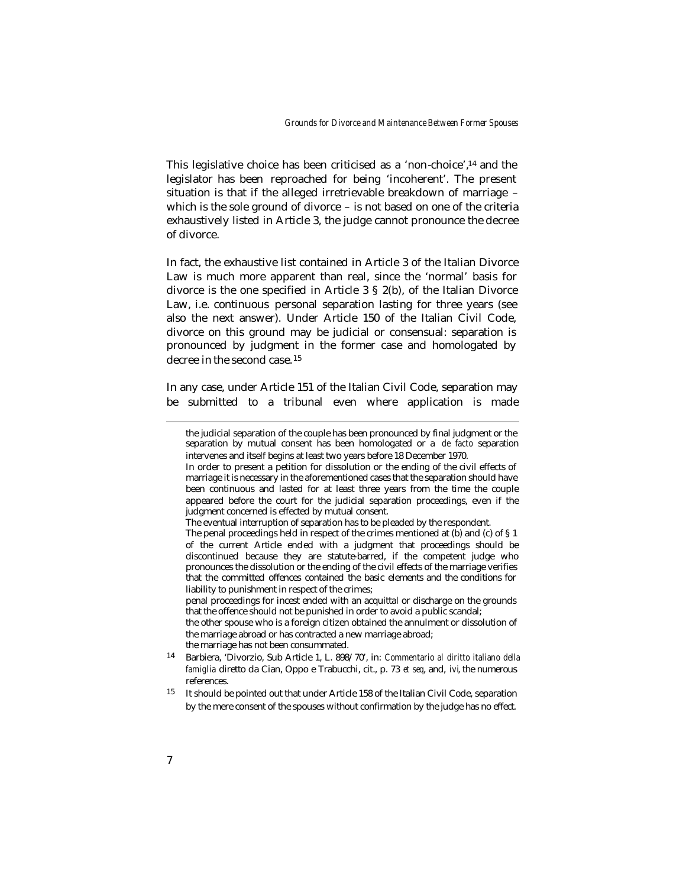This legislative choice has been criticised as a 'non-choice',14 and the legislator has been reproached for being 'incoherent'. The present situation is that if the alleged irretrievable breakdown of marriage – which is the sole ground of divorce – is not based on one of the criteria exhaustively listed in Article 3, the judge cannot pronounce the decree of divorce.

In fact, the exhaustive list contained in Article 3 of the Italian Divorce Law is much more apparent than real, since the 'normal' basis for divorce is the one specified in Article 3 § 2(b), of the Italian Divorce Law, i.e. continuous personal separation lasting for three years (see also the next answer). Under Article 150 of the Italian Civil Code, divorce on this ground may be judicial or consensual: separation is pronounced by judgment in the former case and homologated by decree in the second case. <sup>15</sup>

In any case, under Article 151 of the Italian Civil Code, separation may be submitted to a tribunal even where application is made

penal proceedings for incest ended with an acquittal or discharge on the grounds that the offence should not be punished in order to avoid a public scandal;

the other spouse who is a foreign citizen obtained the annulment or dissolution of the marriage abroad or has contracted a new marriage abroad; the marriage has not been consummated.

the judicial separation of the couple has been pronounced by final judgment or the separation by mutual consent has been homologated or a *de facto* separation intervenes and itself begins at least two years before 18 December 1970.

In order to present a petition for dissolution or the ending of the civil effects of marriage it is necessary in the aforementioned cases that the separation should have been continuous and lasted for at least three years from the time the couple appeared before the court for the judicial separation proceedings, even if the judgment concerned is effected by mutual consent.

The eventual interruption of separation has to be pleaded by the respondent.

The penal proceedings held in respect of the crimes mentioned at (b) and (c) of § 1 of the current Article ended with a judgment that proceedings should be discontinued because they are statute-barred, if the competent judge who pronounces the dissolution or the ending of the civil effects of the marriage verifies that the committed offences contained the basic elements and the conditions for liability to punishment in respect of the crimes;

<sup>14</sup> Barbiera, 'Divorzio, Sub Article 1, L. 898/70', in: *Commentario al diritto italiano della famiglia* diretto da Cian, Oppo e Trabucchi, cit., p. 73 *et seq*, and, *ivi*, the numerous references.

<sup>15</sup> It should be pointed out that under Article 158 of the Italian Civil Code, separation by the mere consent of the spouses without confirmation by the judge has no effect.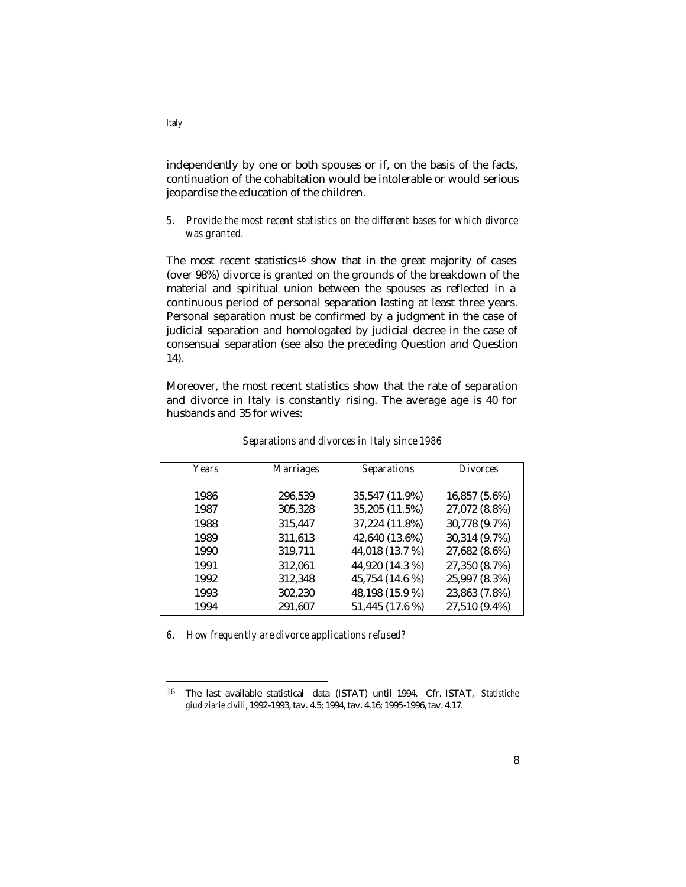independently by one or both spouses or if, on the basis of the facts, continuation of the cohabitation would be intolerable or would serious jeopardise the education of the children.

# *5. Provide the most recent statistics on the different bases for which divorce was granted.*

The most recent statistics<sup>16</sup> show that in the great majority of cases (over 98%) divorce is granted on the grounds of the breakdown of the material and spiritual union between the spouses as reflected in a continuous period of personal separation lasting at least three years. Personal separation must be confirmed by a judgment in the case of judicial separation and homologated by judicial decree in the case of consensual separation (see also the preceding Question and Question 14).

Moreover, the most recent statistics show that the rate of separation and divorce in Italy is constantly rising. The average age is 40 for husbands and 35 for wives:

| Years | <b>Marriages</b> | <b>Separations</b> | <i>Divorces</i> |
|-------|------------------|--------------------|-----------------|
|       |                  |                    |                 |
| 1986  | 296,539          | 35,547 (11.9%)     | 16,857 (5.6%)   |
| 1987  | 305,328          | 35,205 (11.5%)     | 27,072 (8.8%)   |
| 1988  | 315,447          | 37,224 (11.8%)     | 30,778 (9.7%)   |
| 1989  | 311,613          | 42,640 (13.6%)     | 30,314 (9.7%)   |
| 1990  | 319,711          | 44,018 (13.7 %)    | 27,682 (8.6%)   |
| 1991  | 312,061          | 44,920 (14.3 %)    | 27,350 (8.7%)   |
| 1992  | 312,348          | 45,754 (14.6 %)    | 25,997 (8.3%)   |
| 1993  | 302,230          | 48,198 (15.9 %)    | 23,863 (7.8%)   |
| 1994  | 291,607          | 51,445 (17.6 %)    | 27,510 (9.4%)   |

*Separations and divorces in Italy since 1986*

*6. How frequently are divorce applications refused?*

*Italy*

<sup>16</sup> The last available statistical data (ISTAT) until 1994. Cfr. ISTAT, *Statistiche giudiziarie civili*, 1992-1993, tav. 4.5; 1994, tav. 4.16; 1995-1996, tav. 4.17.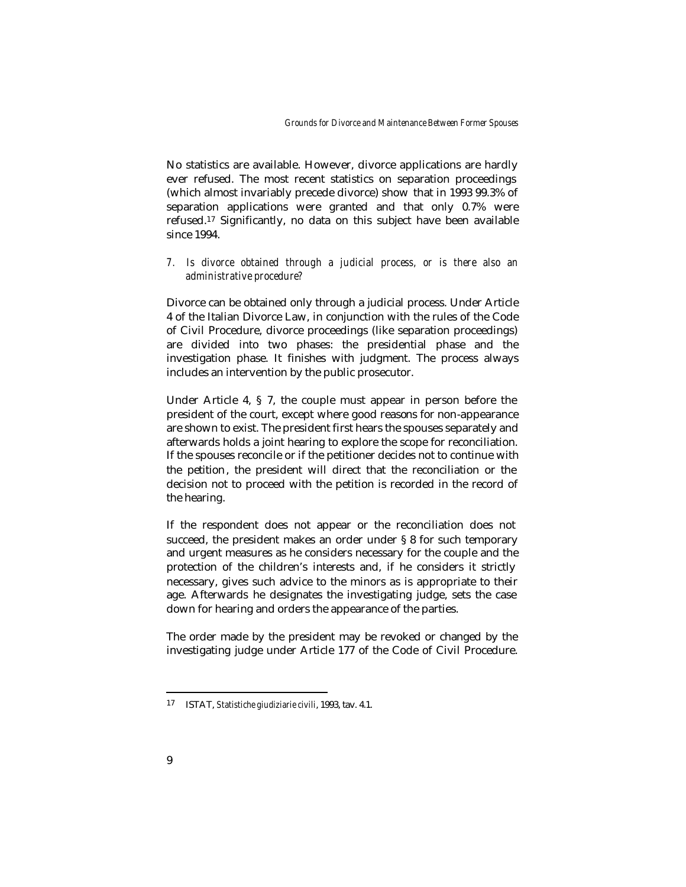No statistics are available. However, divorce applications are hardly ever refused. The most recent statistics on separation proceedings (which almost invariably precede divorce) show that in 1993 99.3% of separation applications were granted and that only 0.7% were refused.17 Significantly, no data on this subject have been available since 1994.

## *7. Is divorce obtained through a judicial process, or is there also an administrative procedure?*

Divorce can be obtained only through a judicial process. Under Article 4 of the Italian Divorce Law, in conjunction with the rules of the Code of Civil Procedure, divorce proceedings (like separation proceedings) are divided into two phases: the presidential phase and the investigation phase. It finishes with judgment. The process always includes an intervention by the public prosecutor.

Under Article 4, § 7, the couple must appear in person before the president of the court, except where good reasons for non-appearance are shown to exist. The president first hears the spouses separately and afterwards holds a joint hearing to explore the scope for reconciliation. If the spouses reconcile or if the petitioner decides not to continue with the petition, the president will direct that the reconciliation or the decision not to proceed with the petition is recorded in the record of the hearing.

If the respondent does not appear or the reconciliation does not succeed, the president makes an order under § 8 for such temporary and urgent measures as he considers necessary for the couple and the protection of the children's interests and, if he considers it strictly necessary, gives such advice to the minors as is appropriate to their age. Afterwards he designates the investigating judge, sets the case down for hearing and orders the appearance of the parties.

The order made by the president may be revoked or changed by the investigating judge under Article 177 of the Code of Civil Procedure.

<sup>17</sup> ISTAT, *Statistiche giudiziarie civili*, 1993, tav. 4.1.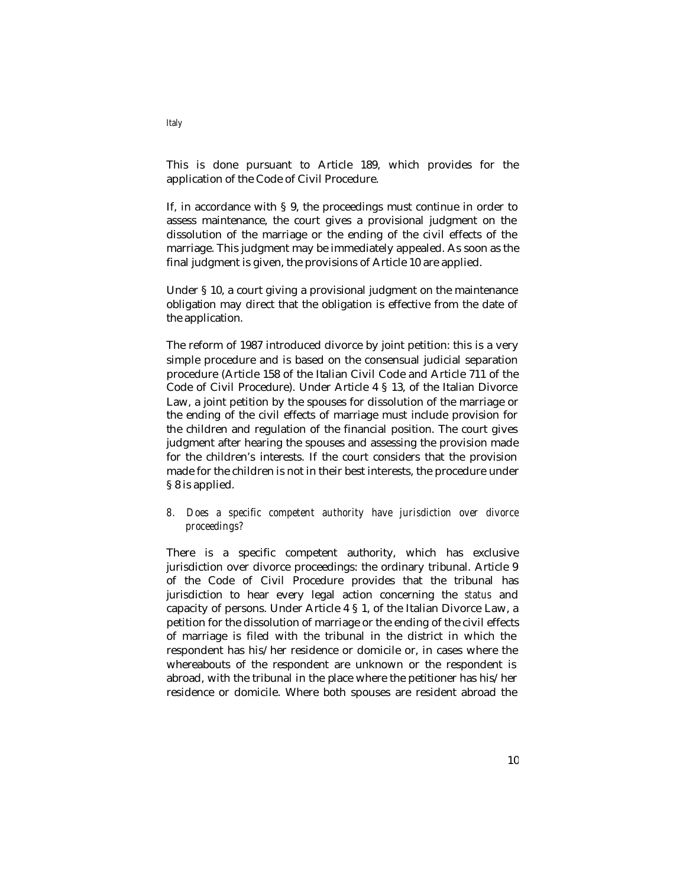This is done pursuant to Article 189, which provides for the application of the Code of Civil Procedure.

If, in accordance with § 9, the proceedings must continue in order to assess maintenance, the court gives a provisional judgment on the dissolution of the marriage or the ending of the civil effects of the marriage. This judgment may be immediately appealed. As soon as the final judgment is given, the provisions of Article 10 are applied.

Under § 10, a court giving a provisional judgment on the maintenance obligation may direct that the obligation is effective from the date of the application.

The reform of 1987 introduced divorce by joint petition: this is a very simple procedure and is based on the consensual judicial separation procedure (Article 158 of the Italian Civil Code and Article 711 of the Code of Civil Procedure). Under Article 4 § 13, of the Italian Divorce Law, a joint petition by the spouses for dissolution of the marriage or the ending of the civil effects of marriage must include provision for the children and regulation of the financial position. The court gives judgment after hearing the spouses and assessing the provision made for the children's interests. If the court considers that the provision made for the children is not in their best interests, the procedure under § 8 is applied.

## *8. Does a specific competent authority have jurisdiction over divorce proceedings?*

There is a specific competent authority, which has exclusive jurisdiction over divorce proceedings: the ordinary tribunal. Article 9 of the Code of Civil Procedure provides that the tribunal has jurisdiction to hear every legal action concerning the *status* and capacity of persons. Under Article 4 § 1, of the Italian Divorce Law, a petition for the dissolution of marriage or the ending of the civil effects of marriage is filed with the tribunal in the district in which the respondent has his/her residence or domicile or, in cases where the whereabouts of the respondent are unknown or the respondent is abroad, with the tribunal in the place where the petitioner has his/her residence or domicile. Where both spouses are resident abroad the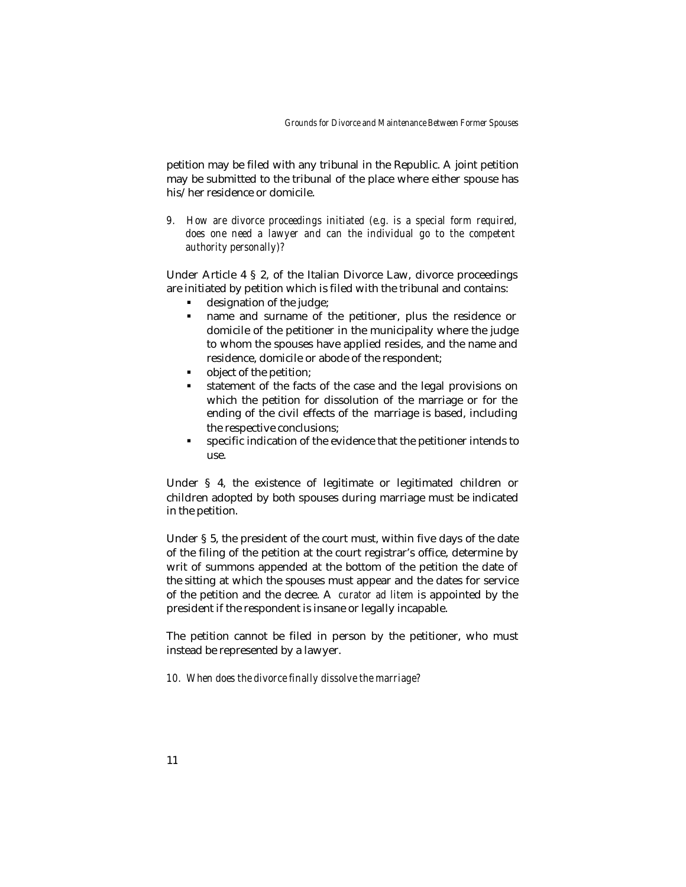petition may be filed with any tribunal in the Republic. A joint petition may be submitted to the tribunal of the place where either spouse has his/her residence or domicile.

*9. How are divorce proceedings initiated (e.g. is a special form required, does one need a lawyer and can the individual go to the competent authority personally)?*

Under Article 4 § 2, of the Italian Divorce Law, divorce proceedings are initiated by petition which is filed with the tribunal and contains:

- $\blacksquare$  designation of the judge;
- name and surname of the petitioner, plus the residence or domicile of the petitioner in the municipality where the judge to whom the spouses have applied resides, and the name and residence, domicile or abode of the respondent;
- ß object of the petition;
- ß statement of the facts of the case and the legal provisions on which the petition for dissolution of the marriage or for the ending of the civil effects of the marriage is based, including the respective conclusions;
- **specific indication of the evidence that the petitioner intends to** use.

Under § 4, the existence of legitimate or legitimated children or children adopted by both spouses during marriage must be indicated in the petition.

Under § 5, the president of the court must, within five days of the date of the filing of the petition at the court registrar's office, determine by writ of summons appended at the bottom of the petition the date of the sitting at which the spouses must appear and the dates for service of the petition and the decree. A *curator ad litem* is appointed by the president if the respondent is insane or legally incapable.

The petition cannot be filed in person by the petitioner, who must instead be represented by a lawyer.

*10. When does the divorce finally dissolve the marriage?*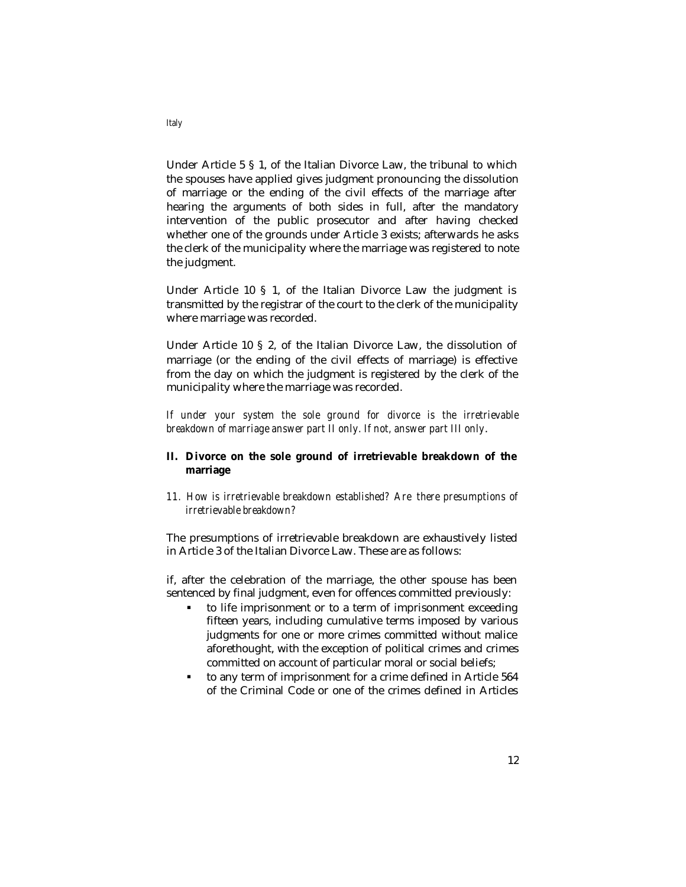Under Article 5 § 1, of the Italian Divorce Law, the tribunal to which the spouses have applied gives judgment pronouncing the dissolution of marriage or the ending of the civil effects of the marriage after hearing the arguments of both sides in full, after the mandatory intervention of the public prosecutor and after having checked whether one of the grounds under Article 3 exists; afterwards he asks the clerk of the municipality where the marriage was registered to note the judgment.

Under Article 10 § 1, of the Italian Divorce Law the judgment is transmitted by the registrar of the court to the clerk of the municipality where marriage was recorded.

Under Article 10 § 2, of the Italian Divorce Law, the dissolution of marriage (or the ending of the civil effects of marriage) is effective from the day on which the judgment is registered by the clerk of the municipality where the marriage was recorded.

*If under your system the sole ground for divorce is the irretrievable breakdown of marriage answer part II only. If not, answer part III only*.

# **II. Divorce on the sole ground of irretrievable breakdown of the marriage**

*11. How is irretrievable breakdown established? Are there presumptions of irretrievable breakdown?*

The presumptions of irretrievable breakdown are exhaustively listed in Article 3 of the Italian Divorce Law. These are as follows:

if, after the celebration of the marriage, the other spouse has been sentenced by final judgment, even for offences committed previously:

- ß to life imprisonment or to a term of imprisonment exceeding fifteen years, including cumulative terms imposed by various judgments for one or more crimes committed without malice aforethought, with the exception of political crimes and crimes committed on account of particular moral or social beliefs;
- to any term of imprisonment for a crime defined in Article 564 of the Criminal Code or one of the crimes defined in Articles

*Italy*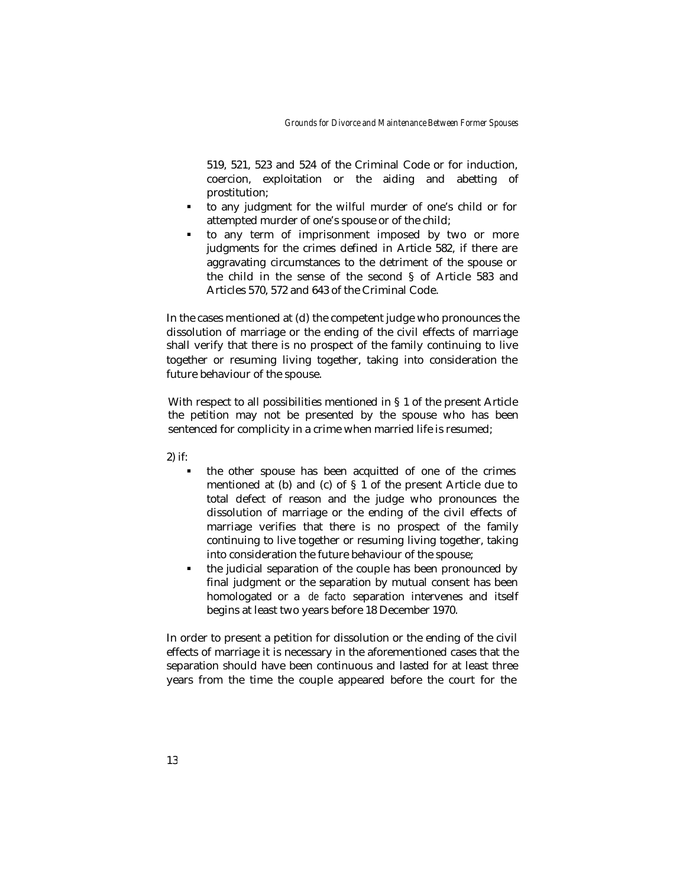519, 521, 523 and 524 of the Criminal Code or for induction, coercion, exploitation or the aiding and abetting of prostitution;

- ß to any judgment for the wilful murder of one's child or for attempted murder of one's spouse or of the child;
- ß to any term of imprisonment imposed by two or more judgments for the crimes defined in Article 582, if there are aggravating circumstances to the detriment of the spouse or the child in the sense of the second § of Article 583 and Articles 570, 572 and 643 of the Criminal Code.

In the cases mentioned at (d) the competent judge who pronounces the dissolution of marriage or the ending of the civil effects of marriage shall verify that there is no prospect of the family continuing to live together or resuming living together, taking into consideration the future behaviour of the spouse.

With respect to all possibilities mentioned in § 1 of the present Article the petition may not be presented by the spouse who has been sentenced for complicity in a crime when married life is resumed;

2) if:

- ß the other spouse has been acquitted of one of the crimes mentioned at (b) and (c) of § 1 of the present Article due to total defect of reason and the judge who pronounces the dissolution of marriage or the ending of the civil effects of marriage verifies that there is no prospect of the family continuing to live together or resuming living together, taking into consideration the future behaviour of the spouse;
- the judicial separation of the couple has been pronounced by final judgment or the separation by mutual consent has been homologated or a *de facto* separation intervenes and itself begins at least two years before 18 December 1970.

In order to present a petition for dissolution or the ending of the civil effects of marriage it is necessary in the aforementioned cases that the separation should have been continuous and lasted for at least three years from the time the couple appeared before the court for the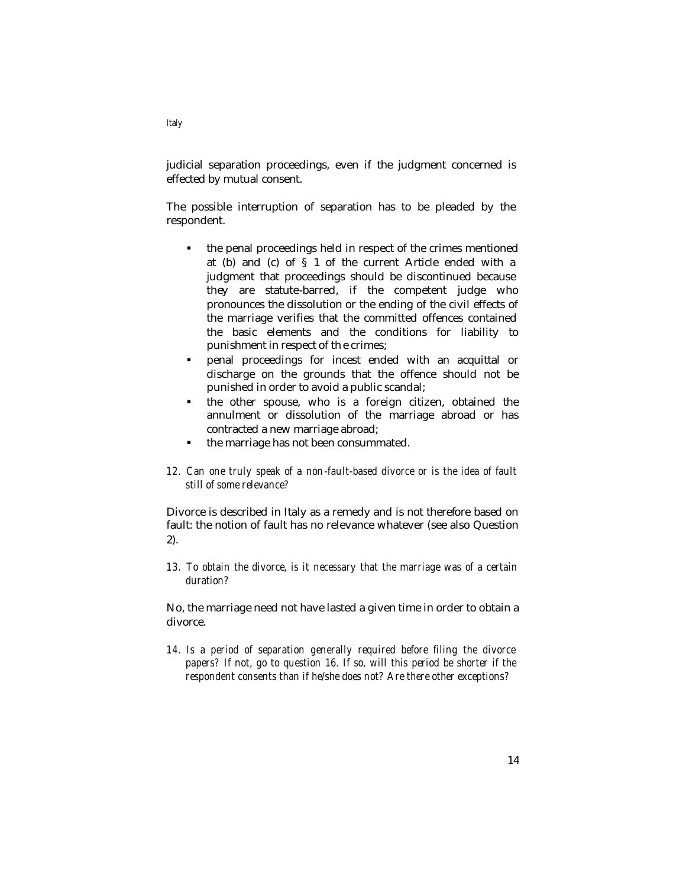judicial separation proceedings, even if the judgment concerned is effected by mutual consent.

The possible interruption of separation has to be pleaded by the respondent.

- ß the penal proceedings held in respect of the crimes mentioned at (b) and (c) of § 1 of the current Article ended with a judgment that proceedings should be discontinued because they are statute-barred, if the competent judge who pronounces the dissolution or the ending of the civil effects of the marriage verifies that the committed offences contained the basic elements and the conditions for liability to punishment in respect of th e crimes;
- ß penal proceedings for incest ended with an acquittal or discharge on the grounds that the offence should not be punished in order to avoid a public scandal;
- $\blacksquare$  the other spouse, who is a foreign citizen, obtained the annulment or dissolution of the marriage abroad or has contracted a new marriage abroad;
- **•** the marriage has not been consummated.
- *12. Can one truly speak of a non-fault-based divorce or is the idea of fault still of some relevance?*

Divorce is described in Italy as a remedy and is not therefore based on fault: the notion of fault has no relevance whatever (see also Question 2).

*13. To obtain the divorce, is it necessary that the marriage was of a certain duration?*

No, the marriage need not have lasted a given time in order to obtain a divorce.

*14. Is a period of separation generally required before filing the divorce papers? If not, go to question 16. If so, will this period be shorter if the respondent consents than if he/she does not? Are there other exceptions?*

*Italy*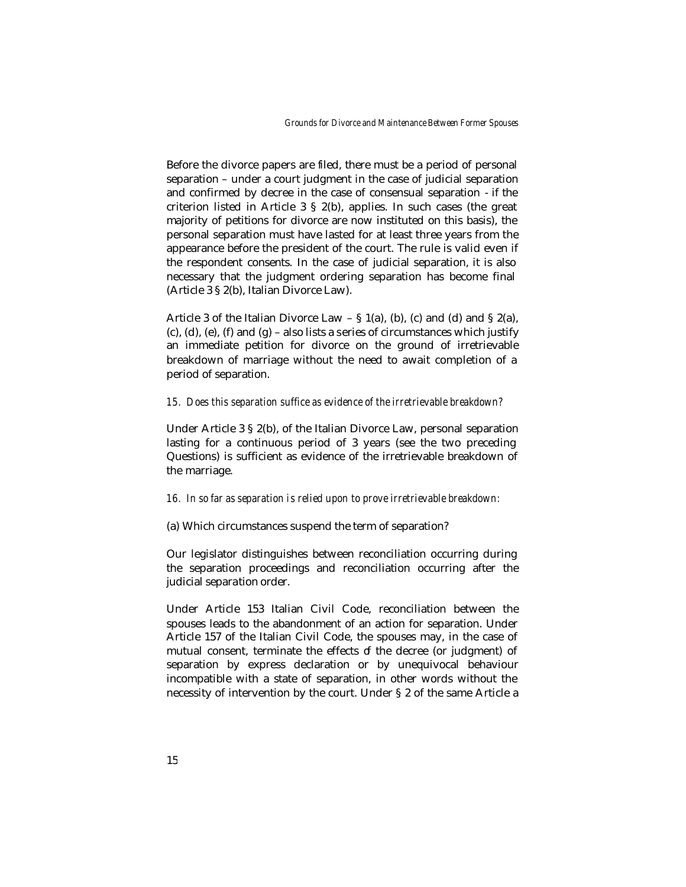Before the divorce papers are filed, there must be a period of personal separation – under a court judgment in the case of judicial separation and confirmed by decree in the case of consensual separation - if the criterion listed in Article 3 § 2(b), applies. In such cases (the great majority of petitions for divorce are now instituted on this basis), the personal separation must have lasted for at least three years from the appearance before the president of the court. The rule is valid even if the respondent consents. In the case of judicial separation, it is also necessary that the judgment ordering separation has become final (Article 3 § 2(b), Italian Divorce Law).

Article 3 of the Italian Divorce Law  $-$  § 1(a), (b), (c) and (d) and § 2(a), (c), (d), (e), (f) and  $(g)$  – also lists a series of circumstances which justify an immediate petition for divorce on the ground of irretrievable breakdown of marriage without the need to await completion of a period of separation.

#### *15. Does this separation suffice as evidence of the irretrievable breakdown?*

Under Article 3 § 2(b), of the Italian Divorce Law, personal separation lasting for a continuous period of 3 years (see the two preceding Questions) is sufficient as evidence of the irretrievable breakdown of the marriage.

#### *16. In so far as separation is relied upon to prove irretrievable breakdown:*

#### (a) Which circumstances suspend the term of separation?

Our legislator distinguishes between reconciliation occurring during the separation proceedings and reconciliation occurring after the judicial separation order.

Under Article 153 Italian Civil Code, reconciliation between the spouses leads to the abandonment of an action for separation. Under Article 157 of the Italian Civil Code, the spouses may, in the case of mutual consent, terminate the effects of the decree (or judgment) of separation by express declaration or by unequivocal behaviour incompatible with a state of separation, in other words without the necessity of intervention by the court. Under § 2 of the same Article a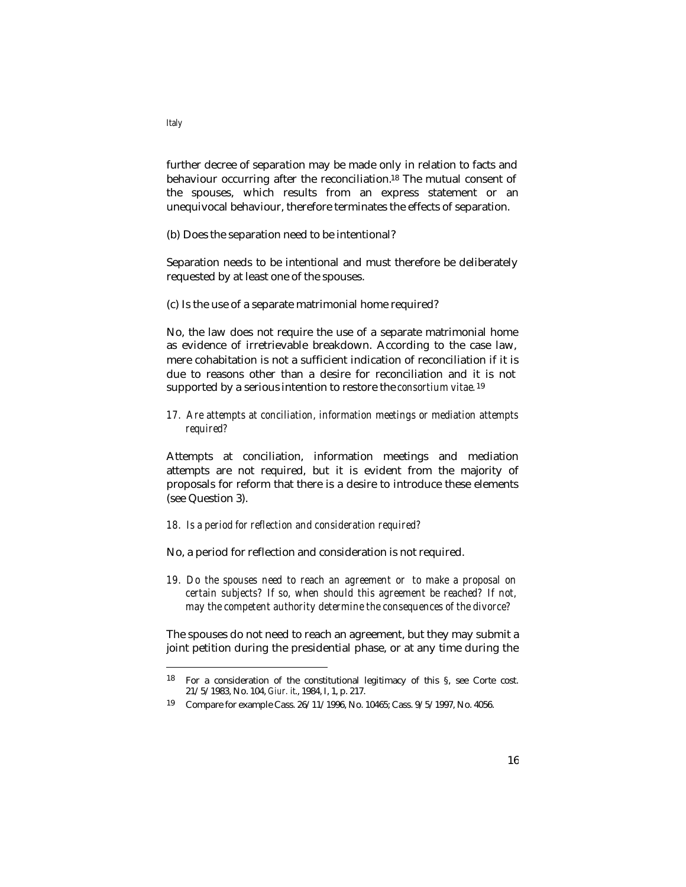further decree of separation may be made only in relation to facts and behaviour occurring after the reconciliation.<sup>18</sup> The mutual consent of the spouses, which results from an express statement or an unequivocal behaviour, therefore terminates the effects of separation.

(b) Does the separation need to be intentional?

Separation needs to be intentional and must therefore be deliberately requested by at least one of the spouses.

(c) Is the use of a separate matrimonial home required?

No, the law does not require the use of a separate matrimonial home as evidence of irretrievable breakdown. According to the case law, mere cohabitation is not a sufficient indication of reconciliation if it is due to reasons other than a desire for reconciliation and it is not supported by a serious intention to restore the *consortium vitae.* <sup>19</sup>

*17. Are attempts at conciliation, information meetings or mediation attempts required?*

Attempts at conciliation, information meetings and mediation attempts are not required, but it is evident from the majority of proposals for reform that there is a desire to introduce these elements (see Question 3).

- *18. Is a period for reflection and consideration required?*
- No, a period for reflection and consideration is not required.
- *19. Do the spouses need to reach an agreement or to make a proposal on certain subjects? If so, when should this agreement be reached? If not, may the competent authority determine the consequences of the divorce?*

The spouses do not need to reach an agreement, but they may submit a joint petition during the presidential phase, or at any time during the

*Italy*

<sup>18</sup> For a consideration of the constitutional legitimacy of this §, see Corte cost. 21/5/1983, No. 104, *Giur. it*., 1984, I, 1, p. 217.

<sup>19</sup> Compare for example Cass. 26/11/1996, No. 10465; Cass. 9/5/1997, No. 4056.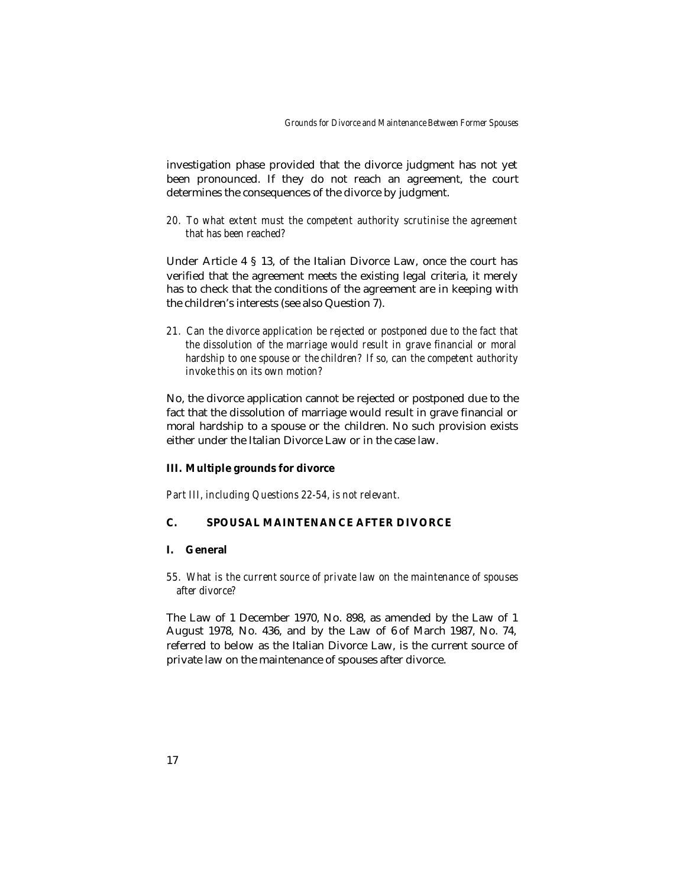investigation phase provided that the divorce judgment has not yet been pronounced. If they do not reach an agreement, the court determines the consequences of the divorce by judgment.

*20. To what extent must the competent authority scrutinise the agreement that has been reached?*

Under Article 4 § 13, of the Italian Divorce Law, once the court has verified that the agreement meets the existing legal criteria, it merely has to check that the conditions of the agreement are in keeping with the children's interests (see also Question 7).

*21. Can the divorce application be rejected or postponed due to the fact that the dissolution of the marriage would result in grave financial or moral hardship to one spouse or the children? If so, can the competent authority invoke this on its own motion?*

No, the divorce application cannot be rejected or postponed due to the fact that the dissolution of marriage would result in grave financial or moral hardship to a spouse or the children. No such provision exists either under the Italian Divorce Law or in the case law.

### **III. Multiple grounds for divorce**

*Part III, including Questions 22-54, is not relevant.*

## **C. SPOUSAL MAINTENANCE AFTER DIVORCE**

## **I. General**

*55. What is the current source of private law on the maintenance of spouses after divorce?*

The Law of 1 December 1970, No. 898, as amended by the Law of 1 August 1978, No. 436, and by the Law of 6 of March 1987, No. 74, referred to below as the Italian Divorce Law, is the current source of private law on the maintenance of spouses after divorce.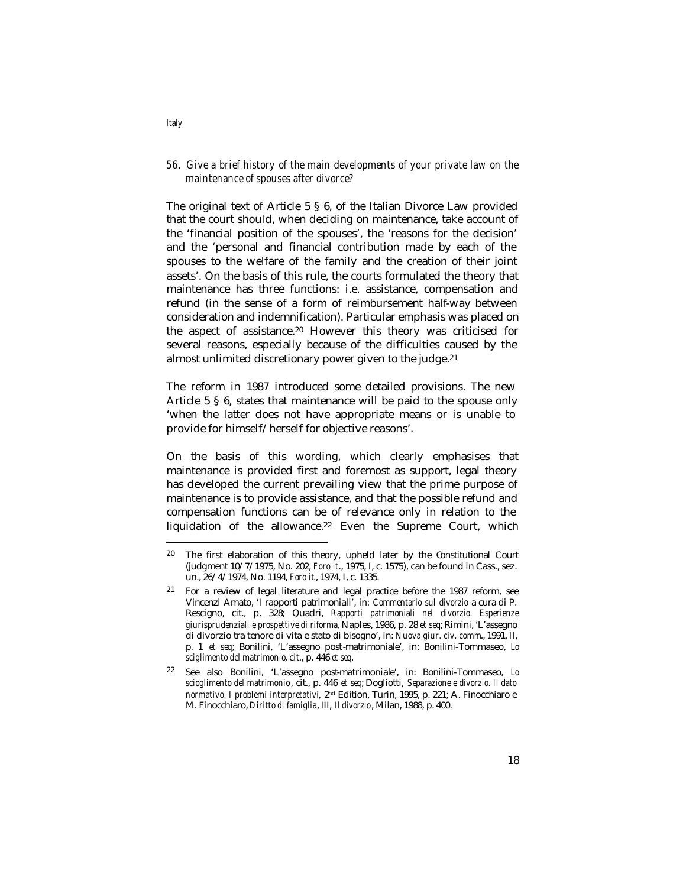## *56. Give a brief history of the main developments of your private law on the maintenance of spouses after divorce?*

The original text of Article 5 § 6, of the Italian Divorce Law provided that the court should, when deciding on maintenance, take account of the 'financial position of the spouses', the 'reasons for the decision' and the 'personal and financial contribution made by each of the spouses to the welfare of the family and the creation of their joint assets'. On the basis of this rule, the courts formulated the theory that maintenance has three functions: i.e. assistance, compensation and refund (in the sense of a form of reimbursement half-way between consideration and indemnification). Particular emphasis was placed on the aspect of assistance.20 However this theory was criticised for several reasons, especially because of the difficulties caused by the almost unlimited discretionary power given to the judge.<sup>21</sup>

The reform in 1987 introduced some detailed provisions. The new Article 5 § 6, states that maintenance will be paid to the spouse only 'when the latter does not have appropriate means or is unable to provide for himself/herself for objective reasons'.

On the basis of this wording, which clearly emphasises that maintenance is provided first and foremost as support, legal theory has developed the current prevailing view that the prime purpose of maintenance is to provide assistance, and that the possible refund and compensation functions can be of relevance only in relation to the liquidation of the allowance.<sup>22</sup> Even the Supreme Court, which

*Italy*

<sup>20</sup> The first elaboration of this theory, upheld later by the Constitutional Court (judgment 10/7/1975, No. 202, *Foro it*., 1975, I, c. 1575), can be found in Cass., sez. un., 26/4/1974, No. 1194, *Foro it*., 1974, I, c. 1335.

<sup>21</sup> For a review of legal literature and legal practice before the 1987 reform, see Vincenzi Amato, 'I rapporti patrimoniali', in: *Commentario sul divorzio* a cura di P. Rescigno, cit., p. 328; Quadri, *Rapporti patrimoniali nel divorzio. Esperienze giurisprudenziali e prospettive di riforma*, Naples, 1986, p. 28 *et seq*; Rimini, 'L'assegno di divorzio tra tenore di vita e stato di bisogno', in: *Nuova giur. civ. comm*., 1991, II, p. 1 *et seq*; Bonilini, 'L'assegno post-matrimoniale', in: Bonilini-Tommaseo, *Lo sciglimento del matrimonio*, cit., p. 446 *et seq*.

<sup>22</sup> See also Bonilini, 'L'assegno post-matrimoniale', in: Bonilini-Tommaseo, *Lo scioglimento del matrimonio*, cit., p. 446 *et seq*; Dogliotti, *Separazione e divorzio. Il dato normativo. I problemi interpretativi*, 2nd Edition, Turin, 1995, p. 221; A. Finocchiaro e M. Finocchiaro, *Diritto di famiglia*, III, *Il divorzio*, Milan, 1988, p. 400.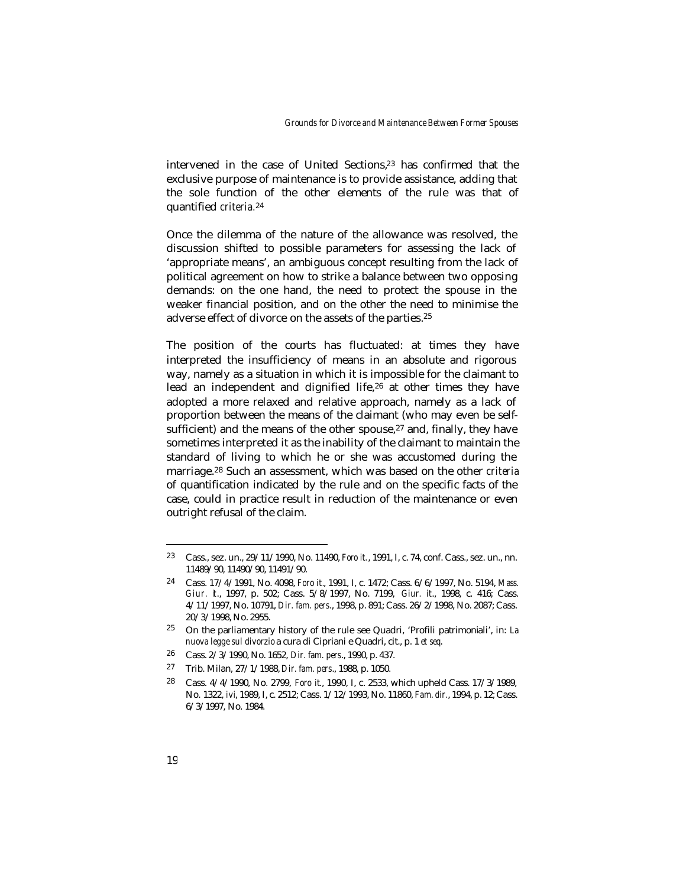intervened in the case of United Sections,23 has confirmed that the exclusive purpose of maintenance is to provide assistance, adding that the sole function of the other elements of the rule was that of quantified *criteria.*<sup>24</sup>

Once the dilemma of the nature of the allowance was resolved, the discussion shifted to possible parameters for assessing the lack of 'appropriate means', an ambiguous concept resulting from the lack of political agreement on how to strike a balance between two opposing demands: on the one hand, the need to protect the spouse in the weaker financial position, and on the other the need to minimise the adverse effect of divorce on the assets of the parties.<sup>25</sup>

The position of the courts has fluctuated: at times they have interpreted the insufficiency of means in an absolute and rigorous way, namely as a situation in which it is impossible for the claimant to lead an independent and dignified life,26 at other times they have adopted a more relaxed and relative approach, namely as a lack of proportion between the means of the claimant (who may even be selfsufficient) and the means of the other spouse, $27$  and, finally, they have sometimes interpreted it as the inability of the claimant to maintain the standard of living to which he or she was accustomed during the marriage.28 Such an assessment, which was based on the other *criteria* of quantification indicated by the rule and on the specific facts of the case, could in practice result in reduction of the maintenance or even outright refusal of the claim.

- 26 Cass. 2/3/1990, No. 1652, *Dir. fam. pers*., 1990, p. 437.
- 27 Trib. Milan, 27/1/1988, *Dir. fam. pers*., 1988, p. 1050.

<sup>23</sup> Cass., sez. un., 29/11/1990, No. 11490, *Foro it.*, 1991, I, c. 74, conf. Cass., sez. un., nn. 11489/90, 11490/90, 11491/90.

<sup>24</sup> Cass. 17/4/1991, No. 4098, *Foro it.*, 1991, I, c. 1472; Cass. 6/6/1997, No. 5194, *Mass. Giur. it*., 1997, p. 502; Cass. 5/8/1997, No. 7199, *Giur. it*., 1998, c. 416; Cass. 4/11/1997, No. 10791, *Dir. fam. pers*., 1998, p. 891; Cass. 26/2/1998, No. 2087; Cass. 20/3/1998, No. 2955.

<sup>25</sup> On the parliamentary history of the rule see Quadri, 'Profili patrimoniali', in: *La nuova legge sul divorzio* a cura di Cipriani e Quadri, cit., p. 1 *et seq*.

<sup>28</sup> Cass. 4/4/1990, No. 2799, *Foro it*., 1990, I, c. 2533, which upheld Cass. 17/3/1989, No. 1322, *ivi*, 1989, I, c. 2512; Cass. 1/12/1993, No. 11860, *Fam. dir.*, 1994, p. 12; Cass. 6/3/1997, No. 1984.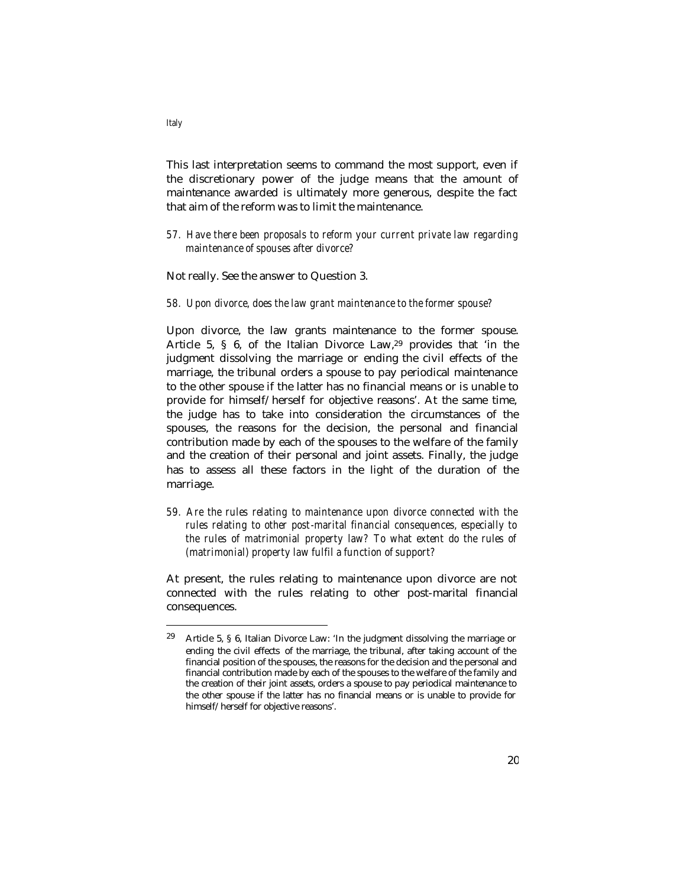This last interpretation seems to command the most support, even if the discretionary power of the judge means that the amount of maintenance awarded is ultimately more generous, despite the fact that aim of the reform was to limit the maintenance.

*57. Have there been proposals to reform your current private law regarding maintenance of spouses after divorce?*

Not really. See the answer to Question 3.

*58. Upon divorce, does the law grant maintenance to the former spouse?*

Upon divorce, the law grants maintenance to the former spouse. Article 5, § 6, of the Italian Divorce Law,29 provides that 'in the judgment dissolving the marriage or ending the civil effects of the marriage, the tribunal orders a spouse to pay periodical maintenance to the other spouse if the latter has no financial means or is unable to provide for himself/herself for objective reasons'. At the same time, the judge has to take into consideration the circumstances of the spouses, the reasons for the decision, the personal and financial contribution made by each of the spouses to the welfare of the family and the creation of their personal and joint assets. Finally, the judge has to assess all these factors in the light of the duration of the marriage.

*59. Are the rules relating to maintenance upon divorce connected with the rules relating to other post-marital financial consequences, especially to the rules of matrimonial property law? To what extent do the rules of (matrimonial) property law fulfil a function of support?*

At present, the rules relating to maintenance upon divorce are not connected with the rules relating to other post-marital financial consequences.

<sup>29</sup> Article 5, § 6, Italian Divorce Law: 'In the judgment dissolving the marriage or ending the civil effects of the marriage, the tribunal, after taking account of the financial position of the spouses, the reasons for the decision and the personal and financial contribution made by each of the spouses to the welfare of the family and the creation of their joint assets, orders a spouse to pay periodical maintenance to the other spouse if the latter has no financial means or is unable to provide for himself/herself for objective reasons'.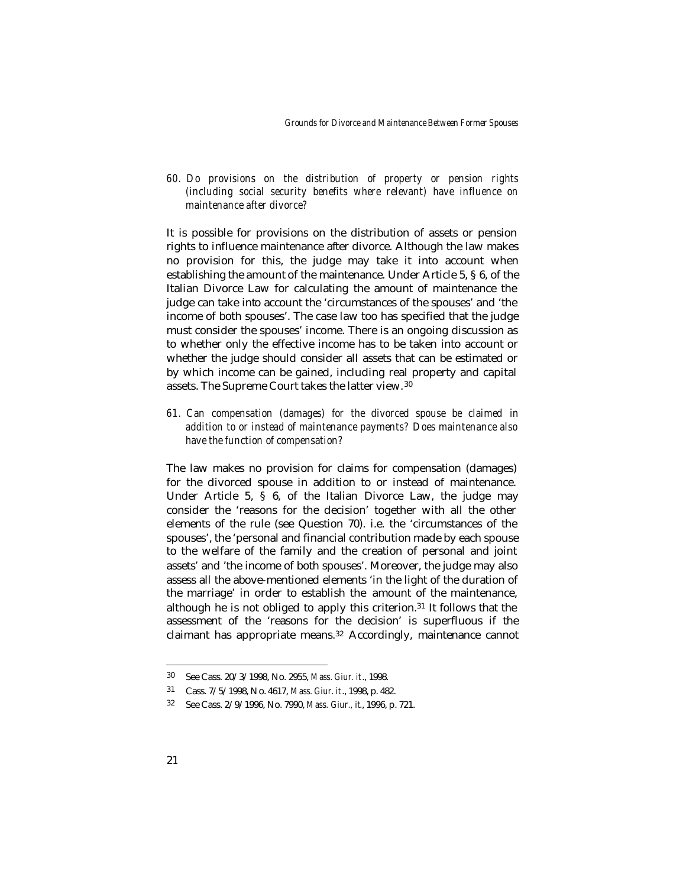*60. Do provisions on the distribution of property or pension rights (including social security benefits where relevant) have influence on maintenance after divorce?* 

It is possible for provisions on the distribution of assets or pension rights to influence maintenance after divorce. Although the law makes no provision for this, the judge may take it into account when establishing the amount of the maintenance. Under Article 5, § 6, of the Italian Divorce Law for calculating the amount of maintenance the judge can take into account the 'circumstances of the spouses' and 'the income of both spouses'. The case law too has specified that the judge must consider the spouses' income. There is an ongoing discussion as to whether only the effective income has to be taken into account or whether the judge should consider all assets that can be estimated or by which income can be gained, including real property and capital assets. The Supreme Court takes the latter view. <sup>30</sup>

*61. Can compensation (damages) for the divorced spouse be claimed in addition to or instead of maintenance payments? Does maintenance also have the function of compensation?*

The law makes no provision for claims for compensation (damages) for the divorced spouse in addition to or instead of maintenance. Under Article 5, § 6, of the Italian Divorce Law, the judge may consider the 'reasons for the decision' together with all the other elements of the rule (see Question 70). i.e. the 'circumstances of the spouses', the 'personal and financial contribution made by each spouse to the welfare of the family and the creation of personal and joint assets' and 'the income of both spouses'. Moreover, the judge may also assess all the above-mentioned elements 'in the light of the duration of the marriage' in order to establish the amount of the maintenance, although he is not obliged to apply this criterion.31 It follows that the assessment of the 'reasons for the decision' is superfluous if the claimant has appropriate means.32 Accordingly, maintenance cannot

<sup>30</sup> See Cass. 20/3/1998, No. 2955, *Mass. Giur. it*., 1998.

<sup>31</sup> Cass. 7/5/1998, No. 4617, *Mass. Giur. it*., 1998, p. 482.

<sup>32</sup> See Cass. 2/9/1996, No. 7990, *Mass. Giur., it*., 1996, p. 721.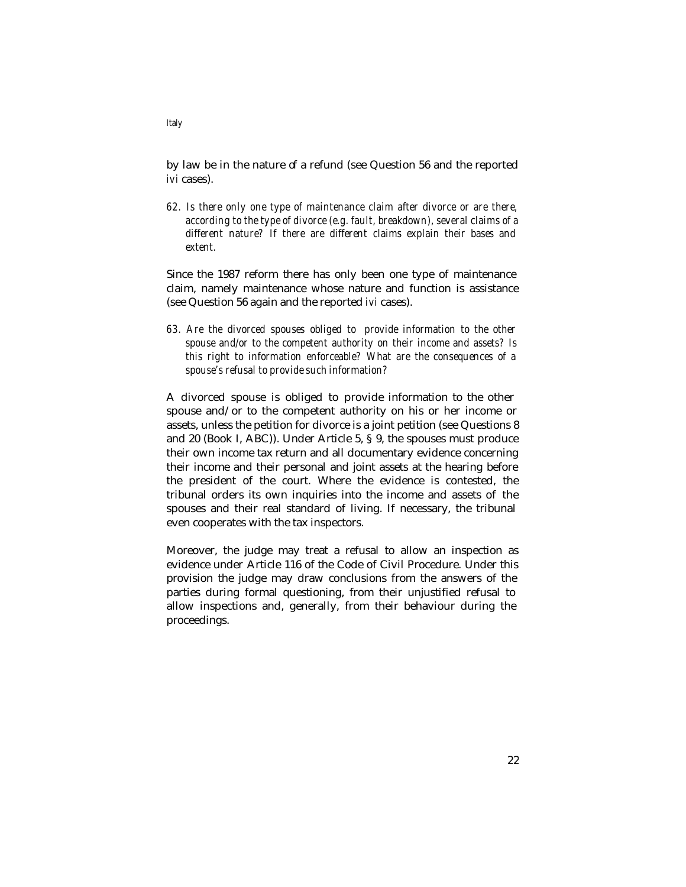by law be in the nature of a refund (see Question 56 and the reported *ivi* cases).

*62. Is there only one type of maintenance claim after divorce or are there, according to the type of divorce (e.g. fault, breakdown), several claims of a different nature? If there are different claims explain their bases and extent.* 

Since the 1987 reform there has only been one type of maintenance claim, namely maintenance whose nature and function is assistance (see Question 56 again and the reported *ivi* cases).

*63. Are the divorced spouses obliged to provide information to the other spouse and/or to the competent authority on their income and assets? Is this right to information enforceable? What are the consequences of a spouse's refusal to provide such information?*

A divorced spouse is obliged to provide information to the other spouse and/or to the competent authority on his or her income or assets, unless the petition for divorce is a joint petition (see Questions 8 and 20 (Book I, ABC)). Under Article 5, § 9, the spouses must produce their own income tax return and all documentary evidence concerning their income and their personal and joint assets at the hearing before the president of the court. Where the evidence is contested, the tribunal orders its own inquiries into the income and assets of the spouses and their real standard of living. If necessary, the tribunal even cooperates with the tax inspectors.

Moreover, the judge may treat a refusal to allow an inspection as evidence under Article 116 of the Code of Civil Procedure. Under this provision the judge may draw conclusions from the answers of the parties during formal questioning, from their unjustified refusal to allow inspections and, generally, from their behaviour during the proceedings.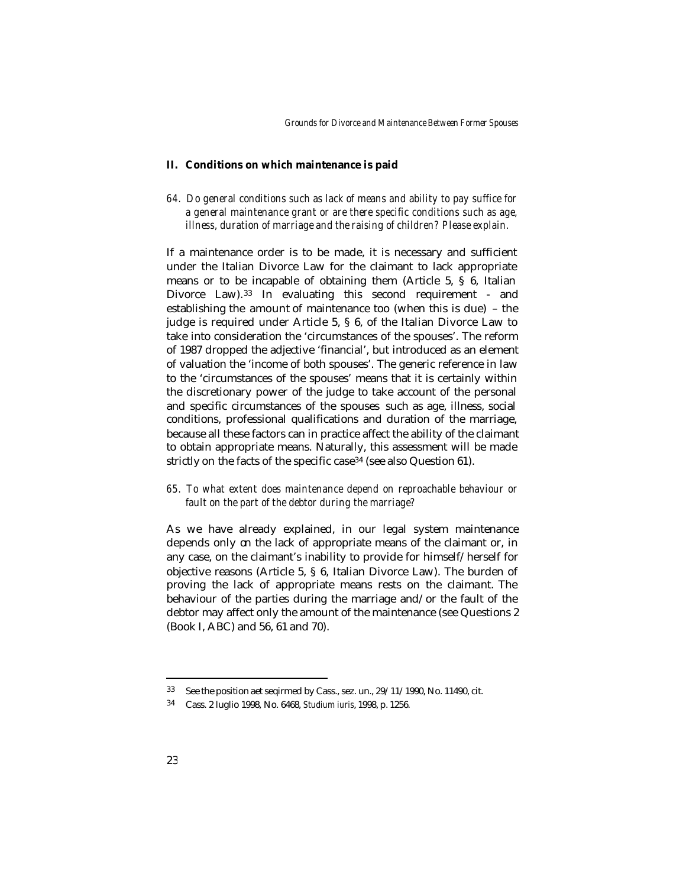*Grounds for Divorce and Maintenance Between Former Spouses*

#### **II. Conditions on which maintenance is paid**

*64. Do general conditions such as lack of means and ability to pay suffice for a general maintenance grant or are there specific conditions such as age, illness, duration of marriage and the raising of children? Please explain.*

If a maintenance order is to be made, it is necessary and sufficient under the Italian Divorce Law for the claimant to lack appropriate means or to be incapable of obtaining them (Article 5, § 6, Italian Divorce Law).33 In evaluating this second requirement - and establishing the amount of maintenance too (when this is due) – the judge is required under Article 5, § 6, of the Italian Divorce Law to take into consideration the 'circumstances of the spouses'. The reform of 1987 dropped the adjective 'financial', but introduced as an element of valuation the 'income of both spouses'. The generic reference in law to the 'circumstances of the spouses' means that it is certainly within the discretionary power of the judge to take account of the personal and specific circumstances of the spouses such as age, illness, social conditions, professional qualifications and duration of the marriage, because all these factors can in practice affect the ability of the claimant to obtain appropriate means. Naturally, this assessment will be made strictly on the facts of the specific case<sup>34</sup> (see also Question 61).

*65. To what extent does maintenance depend on reproachable behaviour or fault on the part of the debtor during the marriage?*

As we have already explained, in our legal system maintenance depends only on the lack of appropriate means of the claimant or, in any case, on the claimant's inability to provide for himself/herself for objective reasons (Article 5, § 6, Italian Divorce Law). The burden of proving the lack of appropriate means rests on the claimant. The behaviour of the parties during the marriage and/or the fault of the debtor may affect only the amount of the maintenance (see Questions 2 (Book I, ABC) and 56, 61 and 70).

<sup>33</sup> See the position aet seqirmed by Cass., sez. un., 29/11/1990, No. 11490, cit.

<sup>34</sup> Cass. 2 luglio 1998, No. 6468, *Studium iuris*, 1998, p. 1256.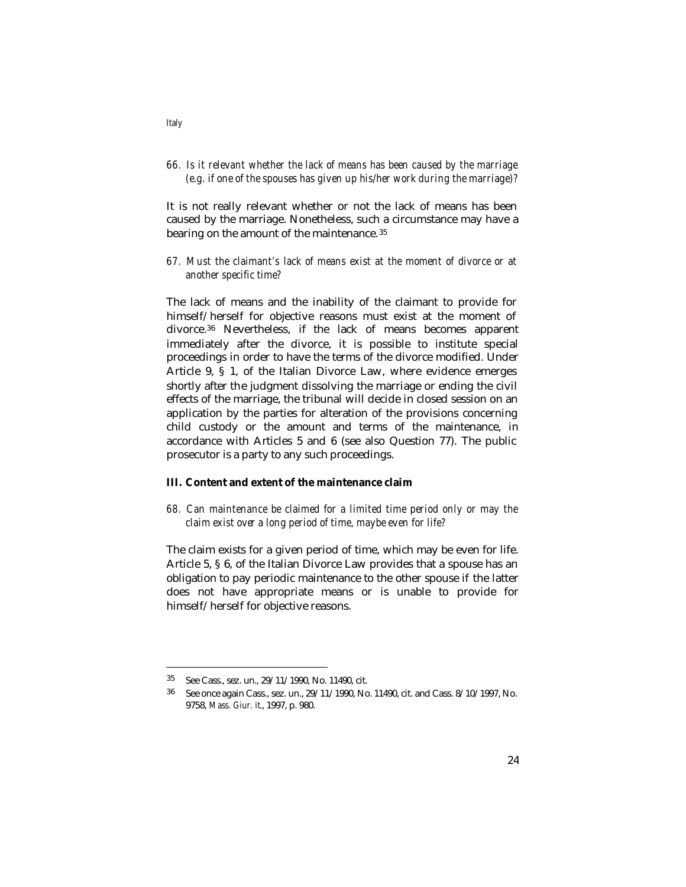*66. Is it relevant whether the lack of means has been caused by the marriage (e.g. if one of the spouses has given up his/her work during the marriage)?* 

It is not really relevant whether or not the lack of means has been caused by the marriage. Nonetheless, such a circumstance may have a bearing on the amount of the maintenance. <sup>35</sup>

*67. Must the claimant's lack of means exist at the moment of divorce or at another specific time?*

The lack of means and the inability of the claimant to provide for himself/herself for objective reasons must exist at the moment of divorce.36 Nevertheless, if the lack of means becomes apparent immediately after the divorce, it is possible to institute special proceedings in order to have the terms of the divorce modified. Under Article 9, § 1, of the Italian Divorce Law, where evidence emerges shortly after the judgment dissolving the marriage or ending the civil effects of the marriage, the tribunal will decide in closed session on an application by the parties for alteration of the provisions concerning child custody or the amount and terms of the maintenance, in accordance with Articles 5 and 6 (see also Question 77). The public prosecutor is a party to any such proceedings.

### **III. Content and extent of the maintenance claim**

*68. Can maintenance be claimed for a limited time period only or may the claim exist over a long period of time, maybe even for life?* 

The claim exists for a given period of time, which may be even for life. Article 5, § 6, of the Italian Divorce Law provides that a spouse has an obligation to pay periodic maintenance to the other spouse if the latter does not have appropriate means or is unable to provide for himself/herself for objective reasons.

l

*Italy*

<sup>35</sup> See Cass., sez. un., 29/11/1990, No. 11490, cit.

<sup>36</sup> See once again Cass., sez. un., 29/11/1990, No. 11490, cit. and Cass. 8/10/1997, No. 9758, *Mass. Giur. it*., 1997, p. 980.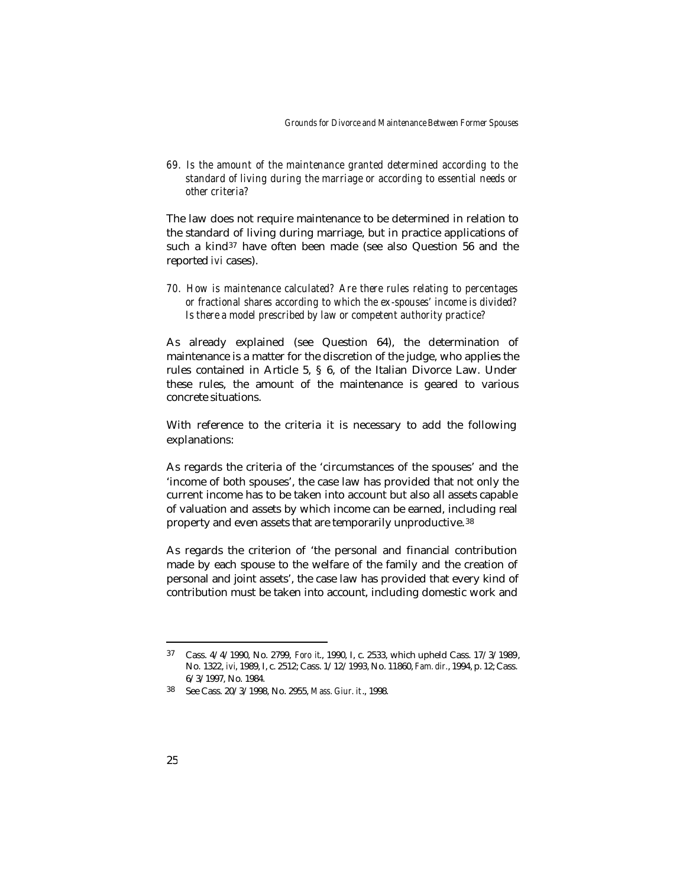*69. Is the amount of the maintenance granted determined according to the standard of living during the marriage or according to essential needs or other criteria?*

The law does not require maintenance to be determined in relation to the standard of living during marriage, but in practice applications of such a kind37 have often been made (see also Question 56 and the reported *ivi* cases).

*70. How is maintenance calculated? Are there rules relating to percentages or fractional shares according to which the ex-spouses' income is divided? Is there a model prescribed by law or competent authority practice?*

As already explained (see Question 64), the determination of maintenance is a matter for the discretion of the judge, who applies the rules contained in Article 5, § 6, of the Italian Divorce Law. Under these rules, the amount of the maintenance is geared to various concrete situations.

With reference to the criteria it is necessary to add the following explanations:

As regards the criteria of the 'circumstances of the spouses' and the 'income of both spouses', the case law has provided that not only the current income has to be taken into account but also all assets capable of valuation and assets by which income can be earned, including real property and even assets that are temporarily unproductive. <sup>38</sup>

As regards the criterion of 'the personal and financial contribution made by each spouse to the welfare of the family and the creation of personal and joint assets', the case law has provided that every kind of contribution must be taken into account, including domestic work and

<sup>37</sup> Cass. 4/4/1990, No. 2799, *Foro it*., 1990, I, c. 2533, which upheld Cass. 17/3/1989, No. 1322, *ivi*, 1989, I, c. 2512; Cass. 1/12/1993, No. 11860, *Fam. dir.*, 1994, p. 12; Cass. 6/3/1997, No. 1984.

<sup>38</sup> See Cass. 20/3/1998, No. 2955, *Mass. Giur. it*., 1998.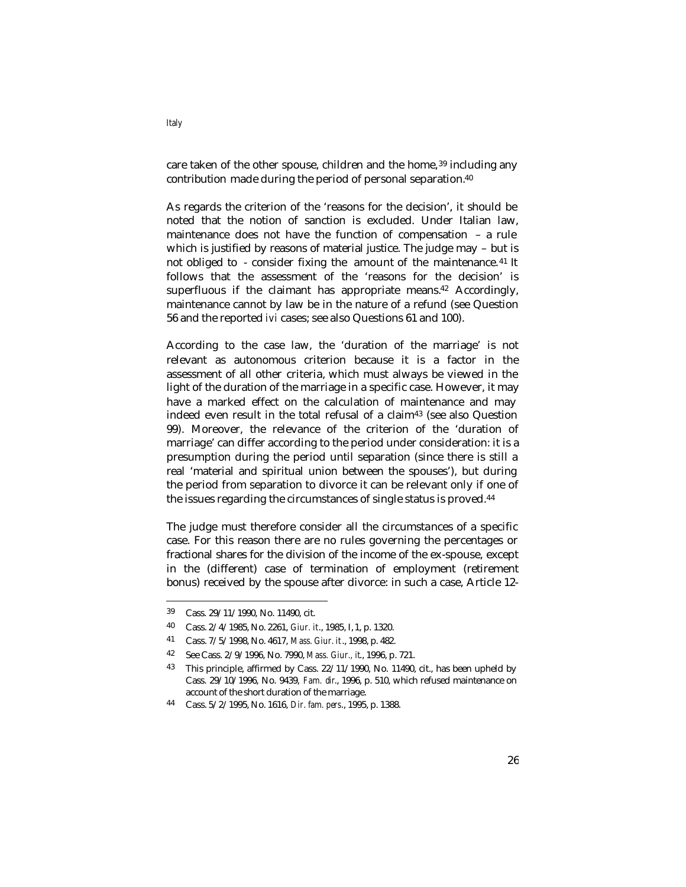care taken of the other spouse, children and the home,<sup>39</sup> including any contribution made during the period of personal separation.<sup>40</sup>

As regards the criterion of the 'reasons for the decision', it should be noted that the notion of sanction is excluded. Under Italian law, maintenance does not have the function of compensation – a rule which is justified by reasons of material justice. The judge may – but is not obliged to - consider fixing the amount of the maintenance.<sup>41</sup> It follows that the assessment of the 'reasons for the decision' is superfluous if the claimant has appropriate means.<sup>42</sup> Accordingly, maintenance cannot by law be in the nature of a refund (see Question 56 and the reported *ivi* cases; see also Questions 61 and 100).

According to the case law, the 'duration of the marriage' is not relevant as autonomous criterion because it is a factor in the assessment of all other criteria, which must always be viewed in the light of the duration of the marriage in a specific case. However, it may have a marked effect on the calculation of maintenance and may indeed even result in the total refusal of a claim43 (see also Question 99). Moreover, the relevance of the criterion of the 'duration of marriage' can differ according to the period under consideration: it is a presumption during the period until separation (since there is still a real 'material and spiritual union between the spouses'), but during the period from separation to divorce it can be relevant only if one of the issues regarding the circumstances of single status is proved.<sup>44</sup>

The judge must therefore consider all the circumstances of a specific case. For this reason there are no rules governing the percentages or fractional shares for the division of the income of the ex-spouse, except in the (different) case of termination of employment (retirement bonus) received by the spouse after divorce: in such a case, Article 12-

<sup>39</sup> Cass. 29/11/1990, No. 11490, cit.

<sup>40</sup> Cass. 2/4/1985, No. 2261, *Giur. it*., 1985, I, 1, p. 1320.

<sup>41</sup> Cass. 7/5/1998, No. 4617, *Mass. Giur. it*., 1998, p. 482.

<sup>42</sup> See Cass. 2/9/1996, No. 7990, *Mass. Giur., it*., 1996, p. 721.

<sup>43</sup> This principle, affirmed by Cass. 22/11/1990, No. 11490, cit., has been upheld by Cass. 29/10/1996, No. 9439, *Fam. dir*., 1996, p. 510, which refused maintenance on account of the short duration of the marriage.

<sup>44</sup> Cass. 5/2/1995, No. 1616, *Dir. fam. pers*., 1995, p. 1388.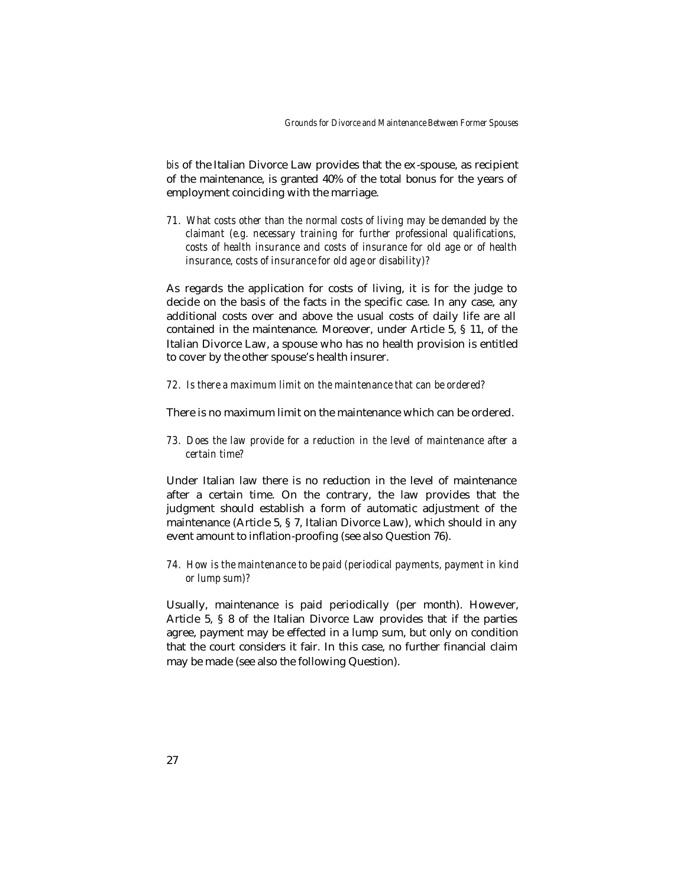*bis* of the Italian Divorce Law provides that the ex -spouse, as recipient of the maintenance, is granted 40% of the total bonus for the years of employment coinciding with the marriage.

*71. What costs other than the normal costs of living may be demanded by the claimant (e.g. necessary training for further professional qualifications, costs of health insurance and costs of insurance for old age or of health insurance, costs of insurance for old age or disability)?*

As regards the application for costs of living, it is for the judge to decide on the basis of the facts in the specific case. In any case, any additional costs over and above the usual costs of daily life are all contained in the maintenance. Moreover, under Article 5, § 11, of the Italian Divorce Law, a spouse who has no health provision is entitled to cover by the other spouse's health insurer.

*72. Is there a maximum limit on the maintenance that can be ordered?* 

There is no maximum limit on the maintenance which can be ordered.

*73. Does the law provide for a reduction in the level of maintenance after a certain time?* 

Under Italian law there is no reduction in the level of maintenance after a certain time. On the contrary, the law provides that the judgment should establish a form of automatic adjustment of the maintenance (Article 5, § 7, Italian Divorce Law), which should in any event amount to inflation-proofing (see also Question 76).

*74. How is the maintenance to be paid (periodical payments, payment in kind or lump sum)?*

Usually, maintenance is paid periodically (per month). However, Article 5, § 8 of the Italian Divorce Law provides that if the parties agree, payment may be effected in a lump sum, but only on condition that the court considers it fair. In this case, no further financial claim may be made (see also the following Question).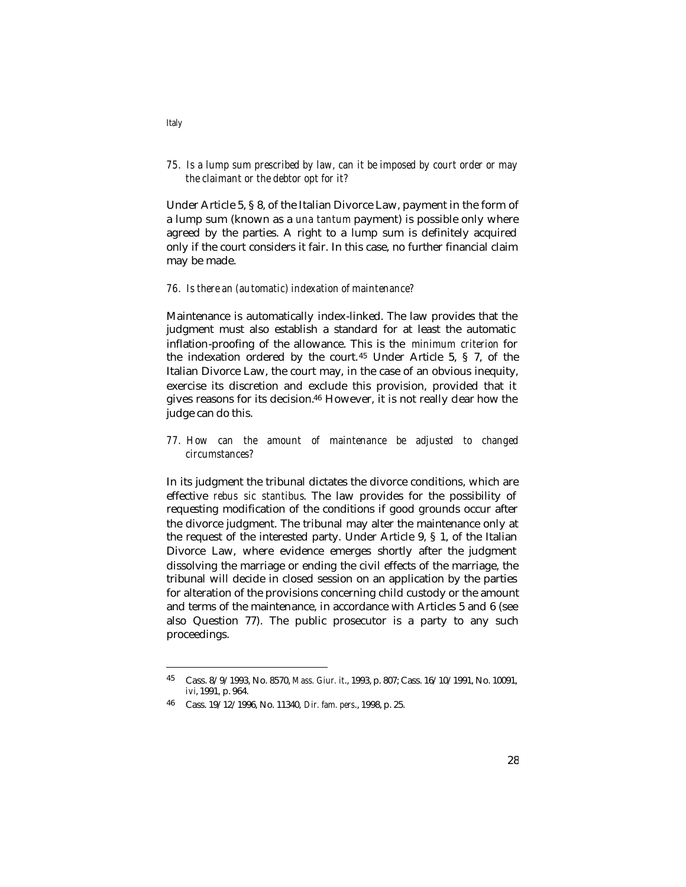# *75. Is a lump sum prescribed by law, can it be imposed by court order or may the claimant or the debtor opt for it?*

Under Article 5, § 8, of the Italian Divorce Law, payment in the form of a lump sum (known as a *una tantum* payment) is possible only where agreed by the parties. A right to a lump sum is definitely acquired only if the court considers it fair. In this case, no further financial claim may be made.

### *76. Is there an (automatic) indexation of maintenance?*

Maintenance is automatically index-linked. The law provides that the judgment must also establish a standard for at least the automatic inflation-proofing of the allowance. This is the *minimum criterion* for the indexation ordered by the court.45 Under Article 5, § 7, of the Italian Divorce Law, the court may, in the case of an obvious inequity, exercise its discretion and exclude this provision, provided that it gives reasons for its decision.46 However, it is not really clear how the judge can do this.

## *77. How can the amount of maintenance be adjusted to changed circumstances?*

In its judgment the tribunal dictates the divorce conditions, which are effective *rebus sic stantibus*. The law provides for the possibility of requesting modification of the conditions if good grounds occur after the divorce judgment. The tribunal may alter the maintenance only at the request of the interested party. Under Article 9, § 1, of the Italian Divorce Law, where evidence emerges shortly after the judgment dissolving the marriage or ending the civil effects of the marriage, the tribunal will decide in closed session on an application by the parties for alteration of the provisions concerning child custody or the amount and terms of the maintenance, in accordance with Articles 5 and 6 (see also Question 77). The public prosecutor is a party to any such proceedings.

*Italy*

<sup>45</sup> Cass. 8/9/1993, No. 8570, *Mass. Giur. it*., 1993, p. 807; Cass. 16/10/1991, No. 10091, *ivi*, 1991, p. 964.

<sup>46</sup> Cass. 19/12/1996, No. 11340, *Dir. fam. pers*., 1998, p. 25.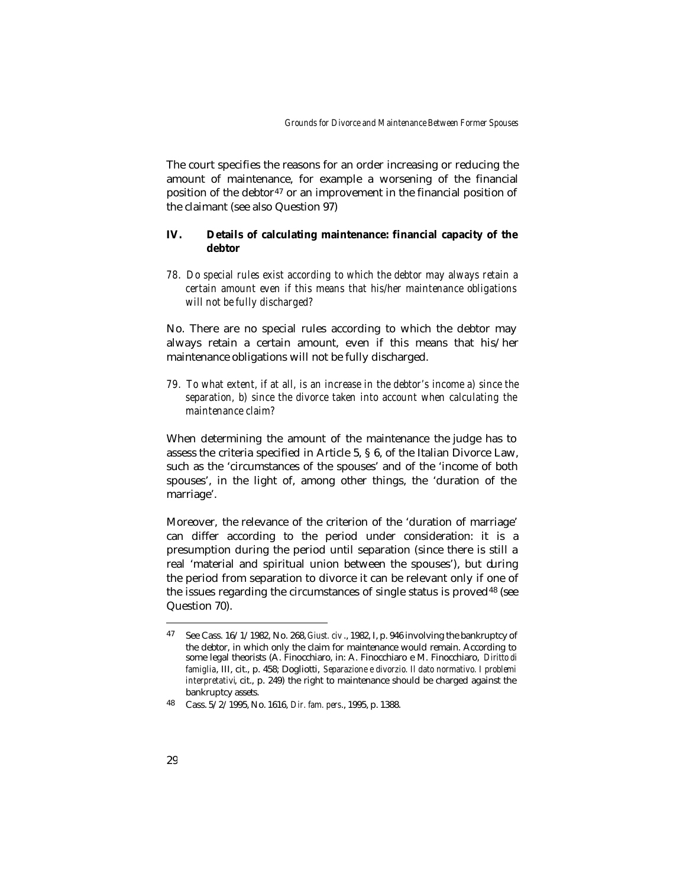The court specifies the reasons for an order increasing or reducing the amount of maintenance, for example a worsening of the financial position of the debtor<sup>47</sup> or an improvement in the financial position of the claimant (see also Question 97)

## **IV. Details of calculating maintenance: financial capacity of the debtor**

*78. Do special rules exist according to which the debtor may always retain a certain amount even if this means that his/her maintenance obligations will not be fully discharged?*

No. There are no special rules according to which the debtor may always retain a certain amount, even if this means that his/her maintenance obligations will not be fully discharged.

*79. To what extent, if at all, is an increase in the debtor's income a) since the separation, b) since the divorce taken into account when calculating the maintenance claim?* 

When determining the amount of the maintenance the judge has to assess the criteria specified in Article 5, § 6, of the Italian Divorce Law, such as the 'circumstances of the spouses' and of the 'income of both spouses', in the light of, among other things, the 'duration of the marriage'.

Moreover, the relevance of the criterion of the 'duration of marriage' can differ according to the period under consideration: it is a presumption during the period until separation (since there is still a real 'material and spiritual union between the spouses'), but during the period from separation to divorce it can be relevant only if one of the issues regarding the circumstances of single status is proved<sup>48</sup> (see Question 70).

<sup>47</sup> See Cass. 16/1/1982, No. 268, *Giust. civ* ., 1982, I, p. 946 involving the bankruptcy of the debtor, in which only the claim for maintenance would remain. According to some legal theorists (A. Finocchiaro, in: A. Finocchiaro e M. Finocchiaro, *Diritto di famiglia*, III, cit., p. 458; Dogliotti, *Separazione e divorzio. Il dato normativo. I problemi interpretativi* cit., p. 249) the right to maintenance should be charged against the bankruptcy assets.

<sup>48</sup> Cass. 5/2/1995, No. 1616, *Dir. fam. pers*., 1995, p. 1388.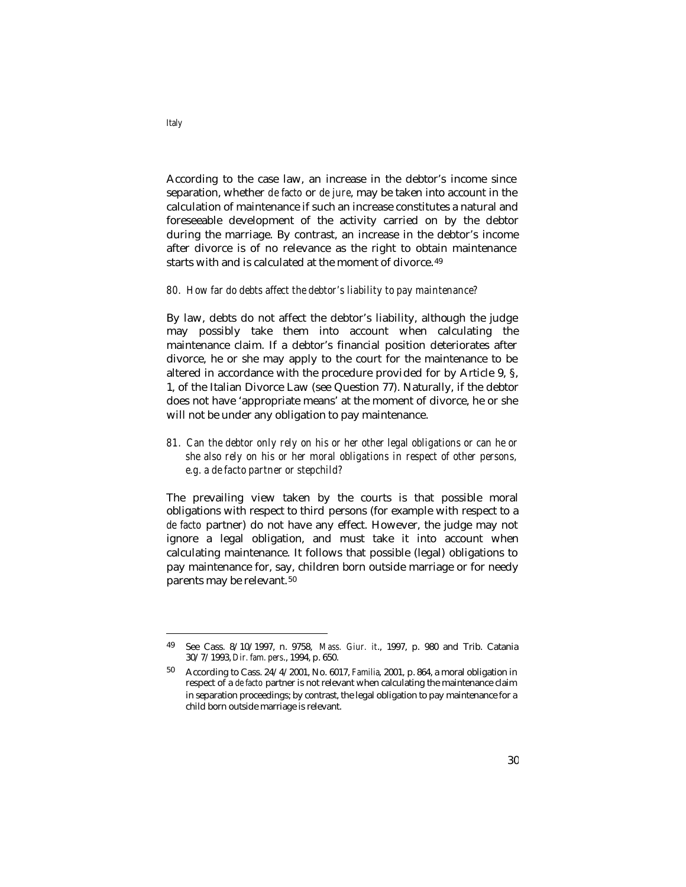According to the case law, an increase in the debtor's income since separation, whether *de facto* or *de jure*, may be taken into account in the calculation of maintenance if such an increase constitutes a natural and foreseeable development of the activity carried on by the debtor during the marriage. By contrast, an increase in the debtor's income after divorce is of no relevance as the right to obtain maintenance starts with and is calculated at the moment of divorce. <sup>49</sup>

#### *80. How far do debts affect the debtor's liability to pay maintenance?*

By law, debts do not affect the debtor's liability, although the judge may possibly take them into account when calculating the maintenance claim. If a debtor's financial position deteriorates after divorce, he or she may apply to the court for the maintenance to be altered in accordance with the procedure provided for by Article 9, §, 1, of the Italian Divorce Law (see Question 77). Naturally, if the debtor does not have 'appropriate means' at the moment of divorce, he or she will not be under any obligation to pay maintenance.

*81. Can the debtor only rely on his or her other legal obligations or can he or she also rely on his or her moral obligations in respect of other persons, e.g. a de facto partner or stepchild?*

The prevailing view taken by the courts is that possible moral obligations with respect to third persons (for example with respect to a *de facto* partner) do not have any effect. However, the judge may not ignore a legal obligation, and must take it into account when calculating maintenance. It follows that possible (legal) obligations to pay maintenance for, say, children born outside marriage or for needy parents may be relevant. <sup>50</sup>

*Italy*

<sup>49</sup> See Cass. 8/10/1997, n. 9758, *Mass. Giur. it*., 1997, p. 980 and Trib. Catania 30/7/1993, *Dir. fam. pers*., 1994, p. 650.

<sup>50</sup> According to Cass. 24/4/2001, No. 6017, *Familia*, 2001, p. 864, a moral obligation in respect of a *de facto* partner is not relevant when calculating the maintenance claim in separation proceedings; by contrast, the legal obligation to pay maintenance for a child born outside marriage is relevant.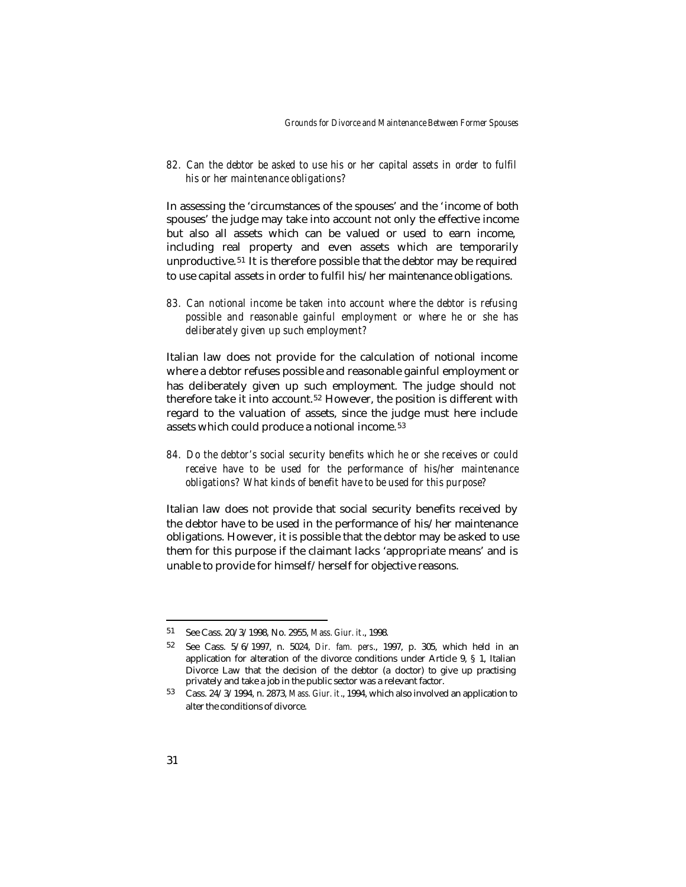*82. Can the debtor be asked to use his or her capital assets in order to fulfil his or her maintenance obligations?* 

In assessing the 'circumstances of the spouses' and the 'income of both spouses' the judge may take into account not only the effective income but also all assets which can be valued or used to earn income, including real property and even assets which are temporarily unproductive.51 It is therefore possible that the debtor may be required to use capital assets in order to fulfil his/her maintenance obligations.

*83. Can notional income be taken into account where the debtor is refusing possible and reasonable gainful employment or where he or she has deliberately given up such employment?* 

Italian law does not provide for the calculation of notional income where a debtor refuses possible and reasonable gainful employment or has deliberately given up such employment. The judge should not therefore take it into account. <sup>52</sup> However, the position is different with regard to the valuation of assets, since the judge must here include assets which could produce a notional income. <sup>53</sup>

*84. Do the debtor's social security benefits which he or she receives or could receive have to be used for the performance of his/her maintenance obligations? What kinds of benefit have to be used for this purpose?*

Italian law does not provide that social security benefits received by the debtor have to be used in the performance of his/her maintenance obligations. However, it is possible that the debtor may be asked to use them for this purpose if the claimant lacks 'appropriate means' and is unable to provide for himself/herself for objective reasons.

<sup>51</sup> See Cass. 20/3/1998, No. 2955, *Mass. Giur. it*., 1998.

<sup>52</sup> See Cass. 5/6/1997, n. 5024, *Dir. fam. pers*., 1997, p. 305, which held in an application for alteration of the divorce conditions under Article 9, § 1, Italian Divorce Law that the decision of the debtor (a doctor) to give up practising privately and take a job in the public sector was a relevant factor.

<sup>53</sup> Cass. 24/3/1994, n. 2873, *Mass. Giur. it*., 1994, which also involved an application to alter the conditions of divorce.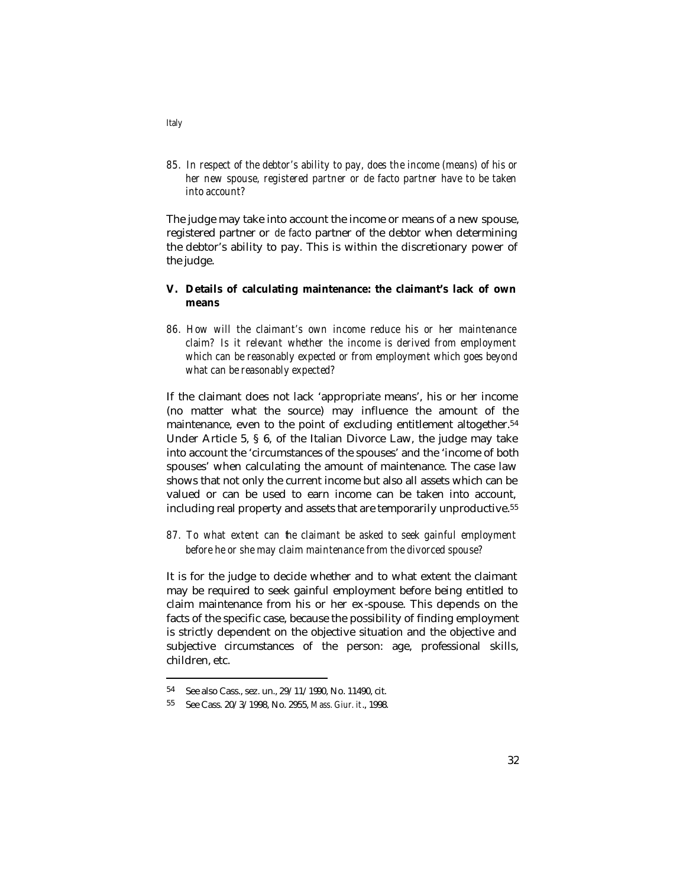*85. In respect of the debtor's ability to pay, does the income (means) of his or her new spouse, registered partner or de facto partner have to be taken into account?*

The judge may take into account the income or means of a new spouse, registered partner or *de fact*o partner of the debtor when determining the debtor's ability to pay. This is within the discretionary power of the judge.

## **V. Details of calculating maintenance: the claimant's lack of own means**

*86. How will the claimant's own income reduce his or her maintenance claim? Is it relevant whether the income is derived from employment which can be reasonably expected or from employment which goes beyond what can be reasonably expected?*

If the claimant does not lack 'appropriate means', his or her income (no matter what the source) may influence the amount of the maintenance, even to the point of excluding entitlement altogether.<sup>54</sup> Under Article 5, § 6, of the Italian Divorce Law, the judge may take into account the 'circumstances of the spouses' and the 'income of both spouses' when calculating the amount of maintenance. The case law shows that not only the current income but also all assets which can be valued or can be used to earn income can be taken into account, including real property and assets that are temporarily unproductive.<sup>55</sup>

*87. To what extent can the claimant be asked to seek gainful employment before he or she may claim maintenance from the divorced spouse?* 

It is for the judge to decide whether and to what extent the claimant may be required to seek gainful employment before being entitled to claim maintenance from his or her ex -spouse. This depends on the facts of the specific case, because the possibility of finding employment is strictly dependent on the objective situation and the objective and subjective circumstances of the person: age, professional skills, children, etc.

l

*Italy*

<sup>54</sup> See also Cass., sez. un., 29/11/1990, No. 11490, cit.

<sup>55</sup> See Cass. 20/3/1998, No. 2955, *Mass. Giur. it*., 1998.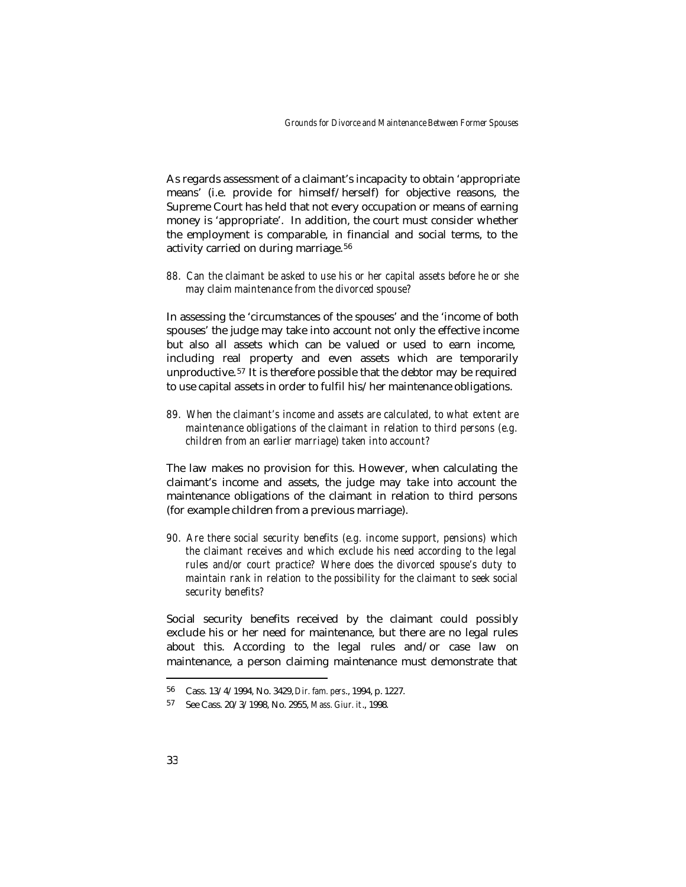As regards assessment of a claimant's incapacity to obtain 'appropriate means' (i.e. provide for himself/herself) for objective reasons, the Supreme Court has held that not every occupation or means of earning money is 'appropriate'. In addition, the court must consider whether the employment is comparable, in financial and social terms, to the activity carried on during marriage.<sup>56</sup>

*88. Can the claimant be asked to use his or her capital assets before he or she may claim maintenance from the divorced spouse?* 

In assessing the 'circumstances of the spouses' and the 'income of both spouses' the judge may take into account not only the effective income but also all assets which can be valued or used to earn income, including real property and even assets which are temporarily unproductive.57 It is therefore possible that the debtor may be required to use capital assets in order to fulfil his/her maintenance obligations.

*89. When the claimant's income and assets are calculated, to what extent are maintenance obligations of the claimant in relation to third persons (e.g. children from an earlier marriage) taken into account?* 

The law makes no provision for this. However, when calculating the claimant's income and assets, the judge may take into account the maintenance obligations of the claimant in relation to third persons (for example children from a previous marriage).

*90. Are there social security benefits (e.g. income support, pensions) which the claimant receives and which exclude his need according to the legal rules and/or court practice? Where does the divorced spouse's duty to maintain rank in relation to the possibility for the claimant to seek social security benefits?* 

Social security benefits received by the claimant could possibly exclude his or her need for maintenance, but there are no legal rules about this. According to the legal rules and/or case law on maintenance, a person claiming maintenance must demonstrate that

<sup>56</sup> Cass. 13/4/1994, No. 3429, *Dir. fam. pers*., 1994, p. 1227.

<sup>57</sup> See Cass. 20/3/1998, No. 2955, *Mass. Giur. it*., 1998.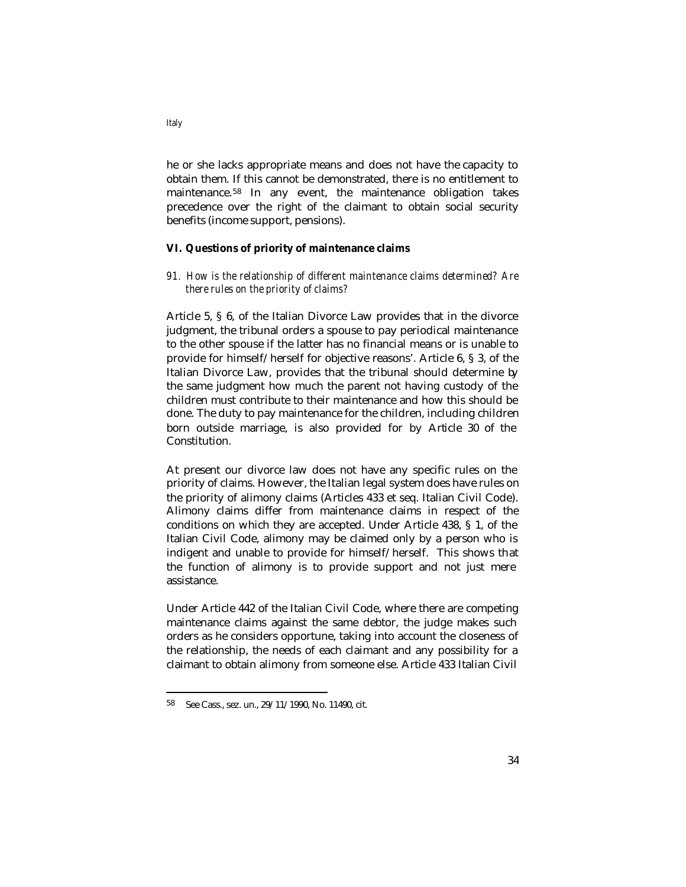he or she lacks appropriate means and does not have the capacity to obtain them. If this cannot be demonstrated, there is no entitlement to maintenance.58 In any event, the maintenance obligation takes precedence over the right of the claimant to obtain social security benefits (income support, pensions).

#### **VI. Questions of priority of maintenance claims**

*91. How is the relationship of different maintenance claims determined? Are there rules on the priority of claims?*

Article 5, § 6, of the Italian Divorce Law provides that in the divorce judgment, the tribunal orders a spouse to pay periodical maintenance to the other spouse if the latter has no financial means or is unable to provide for himself/herself for objective reasons'. Article 6, § 3, of the Italian Divorce Law, provides that the tribunal should determine by the same judgment how much the parent not having custody of the children must contribute to their maintenance and how this should be done. The duty to pay maintenance for the children, including children born outside marriage, is also provided for by Article 30 of the Constitution.

At present our divorce law does not have any specific rules on the priority of claims. However, the Italian legal system does have rules on the priority of alimony claims (Articles 433 et seq. Italian Civil Code). Alimony claims differ from maintenance claims in respect of the conditions on which they are accepted. Under Article 438, § 1, of the Italian Civil Code, alimony may be claimed only by a person who is indigent and unable to provide for himself/herself. This shows that the function of alimony is to provide support and not just mere assistance.

Under Article 442 of the Italian Civil Code, where there are competing maintenance claims against the same debtor, the judge makes such orders as he considers opportune, taking into account the closeness of the relationship, the needs of each claimant and any possibility for a claimant to obtain alimony from someone else. Article 433 Italian Civil

<sup>58</sup> See Cass., sez. un., 29/11/1990, No. 11490, cit.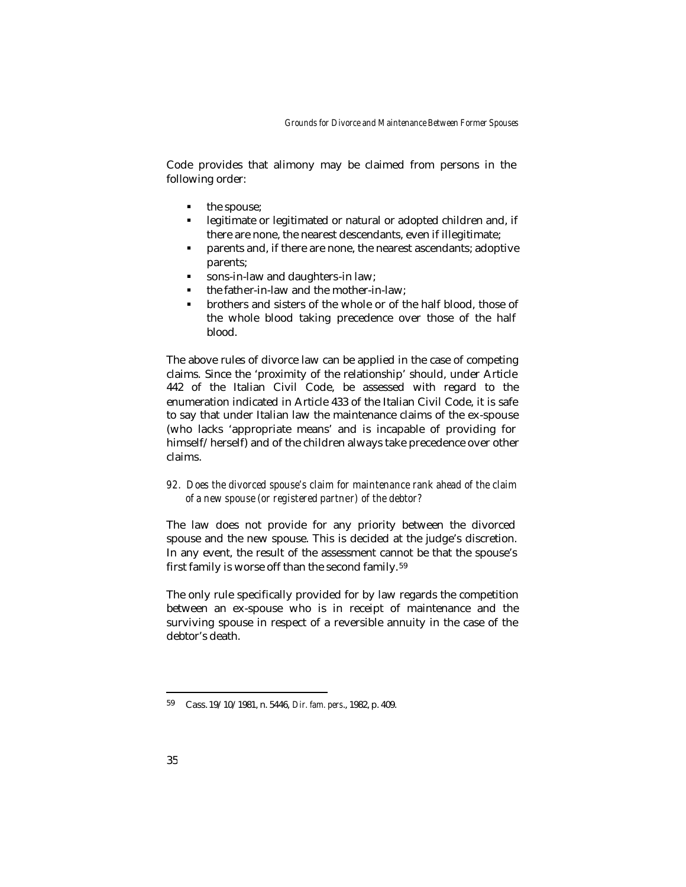Code provides that alimony may be claimed from persons in the following order:

- the spouse:
- **EXECUTE:** legitimate or legitimated or natural or adopted children and, if there are none, the nearest descendants, even if illegitimate;
- ß parents and, if there are none, the nearest ascendants; adoptive parents;
- ß sons-in-law and daughters-in law;
- ß the father-in-law and the mother-in-law;
- ß brothers and sisters of the whole or of the half blood, those of the whole blood taking precedence over those of the half blood.

The above rules of divorce law can be applied in the case of competing claims. Since the 'proximity of the relationship' should, under Article 442 of the Italian Civil Code, be assessed with regard to the enumeration indicated in Article 433 of the Italian Civil Code, it is safe to say that under Italian law the maintenance claims of the ex-spouse (who lacks 'appropriate means' and is incapable of providing for himself/herself) and of the children always take precedence over other claims.

*92. Does the divorced spouse's claim for maintenance rank ahead of the claim of a new spouse (or registered partner) of the debtor?* 

The law does not provide for any priority between the divorced spouse and the new spouse. This is decided at the judge's discretion. In any event, the result of the assessment cannot be that the spouse's first family is worse off than the second family. <sup>59</sup>

The only rule specifically provided for by law regards the competition between an ex-spouse who is in receipt of maintenance and the surviving spouse in respect of a reversible annuity in the case of the debtor's death.

<sup>59</sup> Cass. 19/10/1981, n. 5446, *Dir. fam. pers*., 1982, p. 409.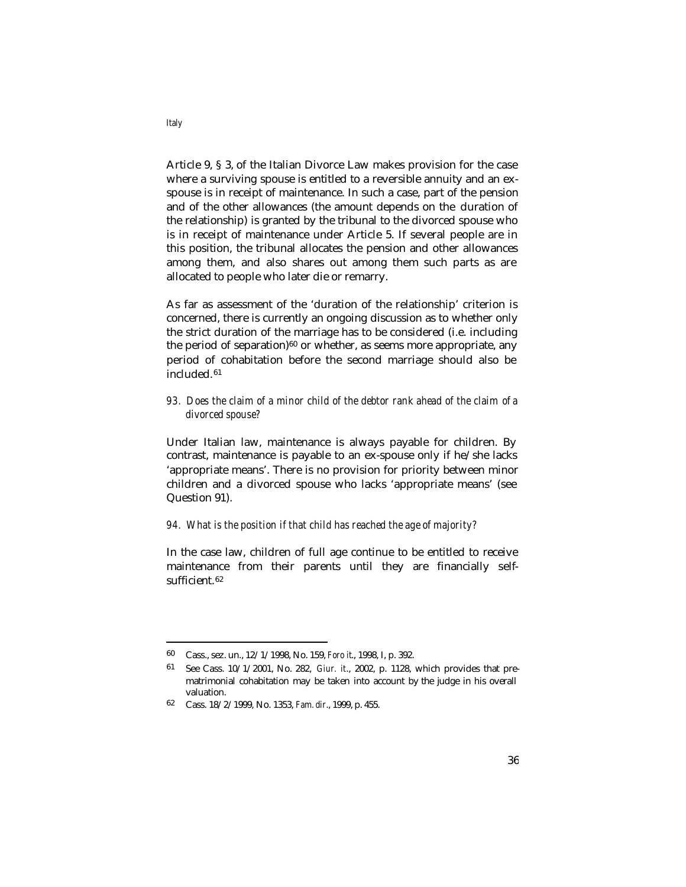Article 9, § 3, of the Italian Divorce Law makes provision for the case where a surviving spouse is entitled to a reversible annuity and an exspouse is in receipt of maintenance. In such a case, part of the pension and of the other allowances (the amount depends on the duration of the relationship) is granted by the tribunal to the divorced spouse who is in receipt of maintenance under Article 5. If several people are in this position, the tribunal allocates the pension and other allowances among them, and also shares out among them such parts as are allocated to people who later die or remarry.

As far as assessment of the 'duration of the relationship' criterion is concerned, there is currently an ongoing discussion as to whether only the strict duration of the marriage has to be considered (i.e. including the period of separation) $60$  or whether, as seems more appropriate, any period of cohabitation before the second marriage should also be included.<sup>61</sup>

# *93. Does the claim of a minor child of the debtor rank ahead of the claim of a divorced spouse?*

Under Italian law, maintenance is always payable for children. By contrast, maintenance is payable to an ex-spouse only if he/she lacks 'appropriate means'. There is no provision for priority between minor children and a divorced spouse who lacks 'appropriate means' (see Question 91).

#### *94. What is the position if that child has reached the age of majority?*

In the case law, children of full age continue to be entitled to receive maintenance from their parents until they are financially selfsufficient.<sup>62</sup>

*Italy*

<sup>60</sup> Cass., sez. un., 12/1/1998, No. 159, *Foro it*., 1998, I, p. 392.

<sup>61</sup> See Cass. 10/1/2001, No. 282, *Giur. it*., 2002, p. 1128, which provides that prematrimonial cohabitation may be taken into account by the judge in his overall valuation.

<sup>62</sup> Cass. 18/2/1999, No. 1353, *Fam. dir*., 1999, p. 455.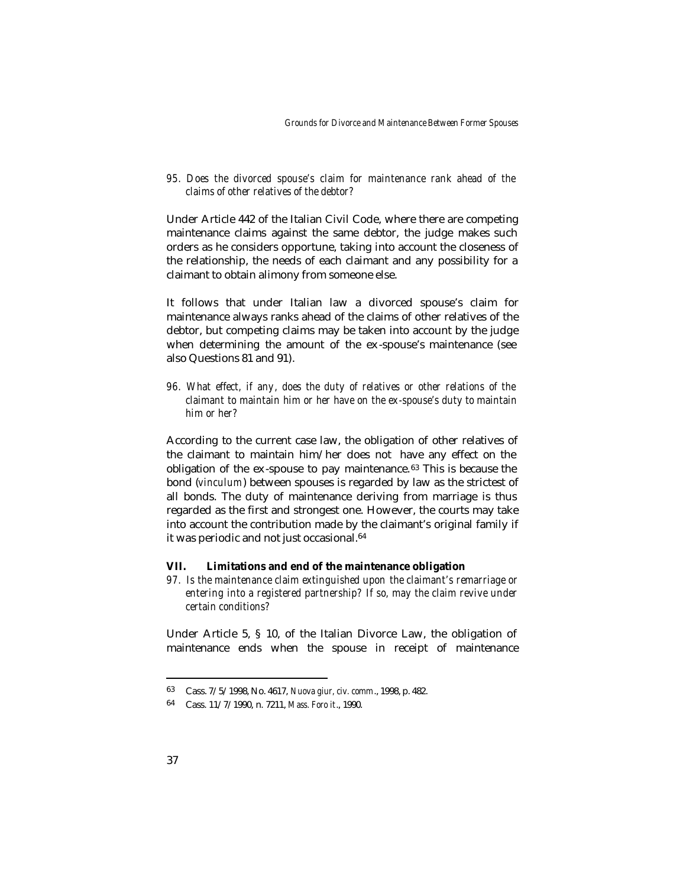*95. Does the divorced spouse's claim for maintenance rank ahead of the claims of other relatives of the debtor?*

Under Article 442 of the Italian Civil Code, where there are competing maintenance claims against the same debtor, the judge makes such orders as he considers opportune, taking into account the closeness of the relationship, the needs of each claimant and any possibility for a claimant to obtain alimony from someone else.

It follows that under Italian law a divorced spouse's claim for maintenance always ranks ahead of the claims of other relatives of the debtor, but competing claims may be taken into account by the judge when determining the amount of the ex -spouse's maintenance (see also Questions 81 and 91).

*96. What effect, if any, does the duty of relatives or other relations of the claimant to maintain him or her have on the ex-spouse's duty to maintain him or her?* 

According to the current case law, the obligation of other relatives of the claimant to maintain him/her does not have any effect on the obligation of the  $ex$ -spouse to pay maintenance. $63$  This is because the bond (*vinculum*) between spouses is regarded by law as the strictest of all bonds. The duty of maintenance deriving from marriage is thus regarded as the first and strongest one. However, the courts may take into account the contribution made by the claimant's original family if it was periodic and not just occasional.<sup>64</sup>

#### **VII. Limitations and end of the maintenance obligation**

*97. Is the maintenance claim extinguished upon the claimant's remarriage or entering into a registered partnership? If so, may the claim revive under certain conditions?*

Under Article 5, § 10, of the Italian Divorce Law, the obligation of maintenance ends when the spouse in receipt of maintenance

<sup>63</sup> Cass. 7/5/1998, No. 4617, *Nuova giur, civ. comm*., 1998, p. 482.

<sup>64</sup> Cass. 11/7/1990, n. 7211, *Mass. Foro it*., 1990.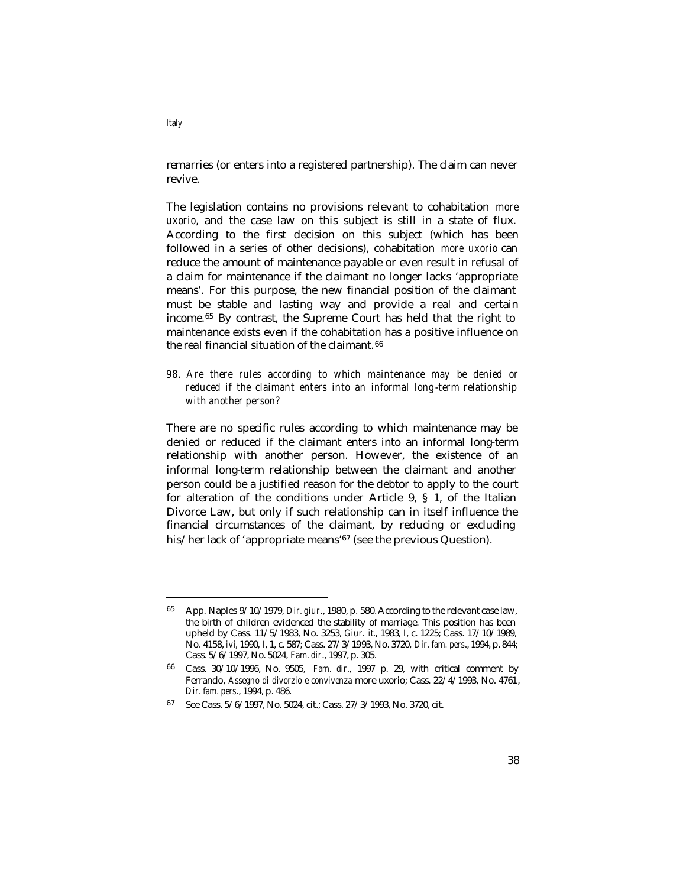remarries (or enters into a registered partnership). The claim can never revive.

The legislation contains no provisions relevant to cohabitation *more uxorio*, and the case law on this subject is still in a state of flux. According to the first decision on this subject (which has been followed in a series of other decisions), cohabitation *more uxorio* can reduce the amount of maintenance payable or even result in refusal of a claim for maintenance if the claimant no longer lacks 'appropriate means'. For this purpose, the new financial position of the claimant must be stable and lasting way and provide a real and certain income.65 By contrast, the Supreme Court has held that the right to maintenance exists even if the cohabitation has a positive influence on the real financial situation of the claimant. <sup>66</sup>

*98. Are there rules according to which maintenance may be denied or reduced if the claimant enters into an informal long-term relationship with another person?* 

There are no specific rules according to which maintenance may be denied or reduced if the claimant enters into an informal long-term relationship with another person. However, the existence of an informal long-term relationship between the claimant and another person could be a justified reason for the debtor to apply to the court for alteration of the conditions under Article 9, § 1, of the Italian Divorce Law, but only if such relationship can in itself influence the financial circumstances of the claimant, by reducing or excluding his/her lack of 'appropriate means'<sup>67</sup> (see the previous Question).

*Italy*

<sup>65</sup> App. Naples 9/10/1979, *Dir. giur*., 1980, p. 580. According to the relevant case law, the birth of children evidenced the stability of marriage. This position has been upheld by Cass. 11/5/1983, No. 3253, *Giur. it*., 1983, I, c. 1225; Cass. 17/10/1989, No. 4158, *ivi*, 1990, I, 1, c. 587; Cass. 27/3/1993, No. 3720, *Dir. fam. pers*., 1994, p. 844; Cass. 5/6/1997, No. 5024, *Fam. dir*., 1997, p. 305.

<sup>66</sup> Cass. 30/10/1996, No. 9505, *Fam. dir*., 1997 p. 29, with critical comment by Ferrando, *Assegno di divorzio e convivenza* more uxorio; Cass. 22/4/1993, No. 4761, *Dir. fam. pers*., 1994, p. 486.

<sup>67</sup> See Cass. 5/6/1997, No. 5024, cit.; Cass. 27/3/1993, No. 3720, cit.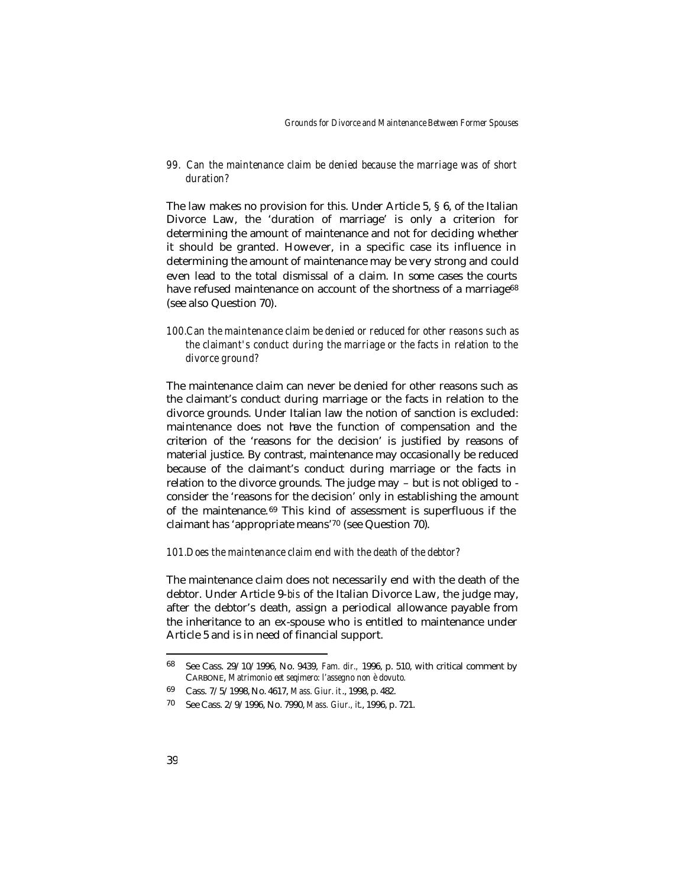*99. Can the maintenance claim be denied because the marriage was of short duration?* 

The law makes no provision for this. Under Article 5, § 6, of the Italian Divorce Law, the 'duration of marriage' is only a criterion for determining the amount of maintenance and not for deciding whether it should be granted. However, in a specific case its influence in determining the amount of maintenance may be very strong and could even lead to the total dismissal of a claim. In some cases the courts have refused maintenance on account of the shortness of a marriage<sup>68</sup> (see also Question 70).

*100.Can the maintenance claim be denied or reduced for other reasons such as the claimant's conduct during the marriage or the facts in relation to the divorce ground?* 

The maintenance claim can never be denied for other reasons such as the claimant's conduct during marriage or the facts in relation to the divorce grounds. Under Italian law the notion of sanction is excluded: maintenance does not have the function of compensation and the criterion of the 'reasons for the decision' is justified by reasons of material justice. By contrast, maintenance may occasionally be reduced because of the claimant's conduct during marriage or the facts in relation to the divorce grounds. The judge may – but is not obliged to consider the 'reasons for the decision' only in establishing the amount of the maintenance.69 This kind of assessment is superfluous if the claimant has 'appropriate means'70 (see Question 70).

#### *101.Does the maintenance claim end with the death of the debtor?*

The maintenance claim does not necessarily end with the death of the debtor. Under Article 9-*bis* of the Italian Divorce Law, the judge may, after the debtor's death, assign a periodical allowance payable from the inheritance to an ex-spouse who is entitled to maintenance under Article 5 and is in need of financial support.

<sup>68</sup> See Cass. 29/10/1996, No. 9439, *Fam. dir.,* 1996, p. 510, with critical comment by CARBONE, *Matrimonio eet seqimero: l'assegno non è dovuto.*

<sup>69</sup> Cass. 7/5/1998, No. 4617, *Mass. Giur. it*., 1998, p. 482.

<sup>70</sup> See Cass. 2/9/1996, No. 7990, *Mass. Giur., it*., 1996, p. 721.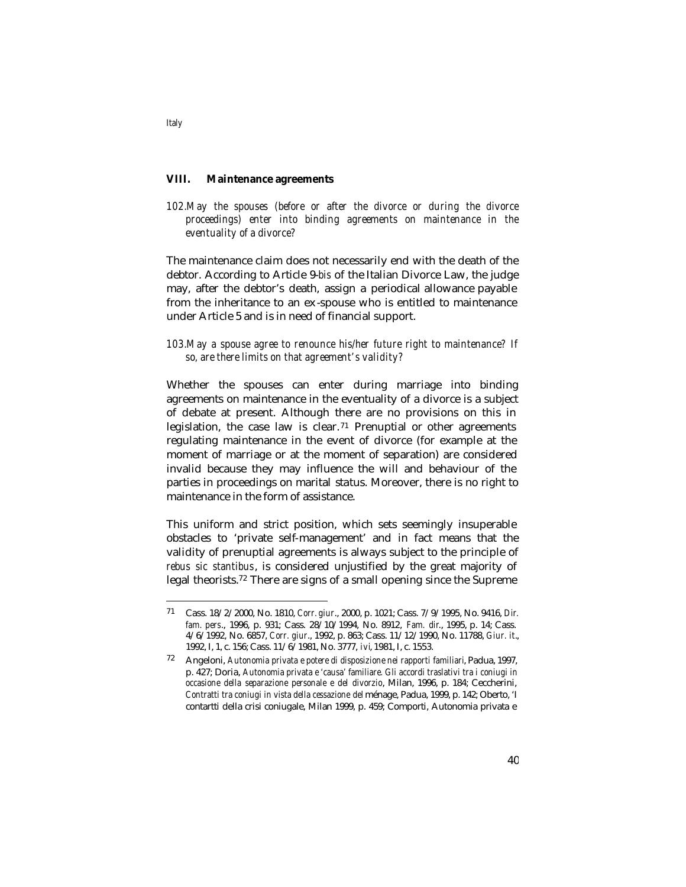## **VIII. Maintenance agreements**

*102.May the spouses (before or after the divorce or during the divorce proceedings) enter into binding agreements on maintenance in the eventuality of a divorce?* 

The maintenance claim does not necessarily end with the death of the debtor. According to Article 9-*bis* of the Italian Divorce Law, the judge may, after the debtor's death, assign a periodical allowance payable from the inheritance to an ex -spouse who is entitled to maintenance under Article 5 and is in need of financial support.

# *103.May a spouse agree to renounce his/her future right to maintenance? If so, are there limits on that agreement's validity?*

Whether the spouses can enter during marriage into binding agreements on maintenance in the eventuality of a divorce is a subject of debate at present. Although there are no provisions on this in legislation, the case law is clear. <sup>71</sup> Prenuptial or other agreements regulating maintenance in the event of divorce (for example at the moment of marriage or at the moment of separation) are considered invalid because they may influence the will and behaviour of the parties in proceedings on marital status. Moreover, there is no right to maintenance in the form of assistance.

This uniform and strict position, which sets seemingly insuperable obstacles to 'private self-management' and in fact means that the validity of prenuptial agreements is always subject to the principle of *rebus sic stantibus*, is considered unjustified by the great majority of legal theorists.72 There are signs of a small opening since the Supreme

*Italy*

<sup>71</sup> Cass. 18/2/2000, No. 1810, *Corr. giur*., 2000, p. 1021; Cass. 7/9/1995, No. 9416, *Dir. fam. pers*., 1996, p. 931; Cass. 28/10/1994, No. 8912, *Fam. dir*., 1995, p. 14; Cass. 4/6/1992, No. 6857, *Corr. giur*., 1992, p. 863; Cass. 11/12/1990, No. 11788, *Giur. it*., 1992, I, 1, c. 156; Cass. 11/6/1981, No. 3777, *ivi*, 1981, I, c. 1553.

<sup>72</sup> Angeloni, *Autonomia privata e potere di disposizione nei rapporti familiari*, Padua, 1997, p. 427; Doria, *Autonomia privata e 'causa' familiare. Gli accordi traslativi tra i coniugi in occasione della separazione personale e del divorzio*, Milan, 1996, p. 184; Ceccherini, *Contratti tra coniugi in vista della cessazione del* ménage, Padua, 1999, p. 142; Oberto, 'I contartti della crisi coniugale, Milan 1999, p. 459; Comporti, Autonomia privata e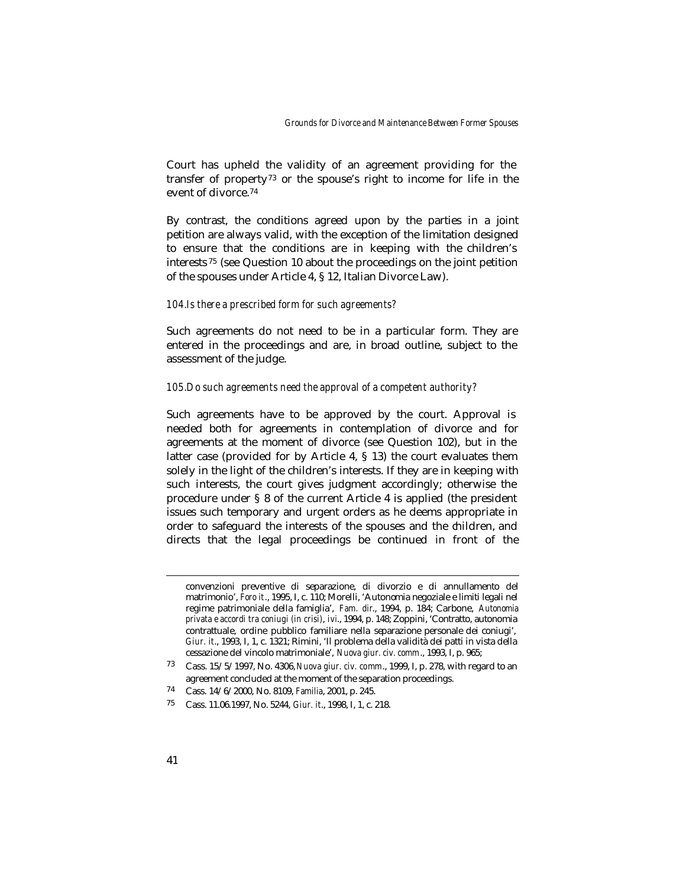Court has upheld the validity of an agreement providing for the transfer of property<sup>73</sup> or the spouse's right to income for life in the event of divorce.<sup>74</sup>

By contrast, the conditions agreed upon by the parties in a joint petition are always valid, with the exception of the limitation designed to ensure that the conditions are in keeping with the children's interests <sup>75</sup> (see Question 10 about the proceedings on the joint petition of the spouses under Article 4, § 12, Italian Divorce Law).

#### *104.Is there a prescribed form for such agreements?*

Such agreements do not need to be in a particular form. They are entered in the proceedings and are, in broad outline, subject to the assessment of the judge.

### *105.Do such agreements need the approval of a competent authority?*

Such agreements have to be approved by the court. Approval is needed both for agreements in contemplation of divorce and for agreements at the moment of divorce (see Question 102), but in the latter case (provided for by Article 4, § 13) the court evaluates them solely in the light of the children's interests. If they are in keeping with such interests, the court gives judgment accordingly; otherwise the procedure under § 8 of the current Article 4 is applied (the president issues such temporary and urgent orders as he deems appropriate in order to safeguard the interests of the spouses and the children, and directs that the legal proceedings be continued in front of the

convenzioni preventive di separazione, di divorzio e di annullamento del matrimonio', *Foro it*., 1995, I, c. 110; Morelli, 'Autonomia negoziale e limiti legali nel regime patrimoniale della famiglia', *Fam. dir*., 1994, p. 184; Carbone, *Autonomia privata e accordi tra coniugi (in crisi)*, *ivi*., 1994, p. 148; Zoppini, 'Contratto, autonomia contrattuale, ordine pubblico familiare nella separazione personale dei coniugi', *Giur. it*., 1993, I, 1, c. 1321; Rimini, 'Il problema della validità dei patti in vista della cessazione del vincolo matrimoniale', *Nuova giur. civ. comm*., 1993, I, p. 965;

<sup>73</sup> Cass. 15/5/1997, No. 4306, *Nuova giur. civ. comm*., 1999, I, p. 278, with regard to an agreement concluded at the moment of the separation proceedings.

<sup>74</sup> Cass. 14/6/2000, No. 8109, *Familia*, 2001, p. 245.

<sup>75</sup> Cass. 11.06.1997, No. 5244, *Giur. it*., 1998, I, 1, c. 218.